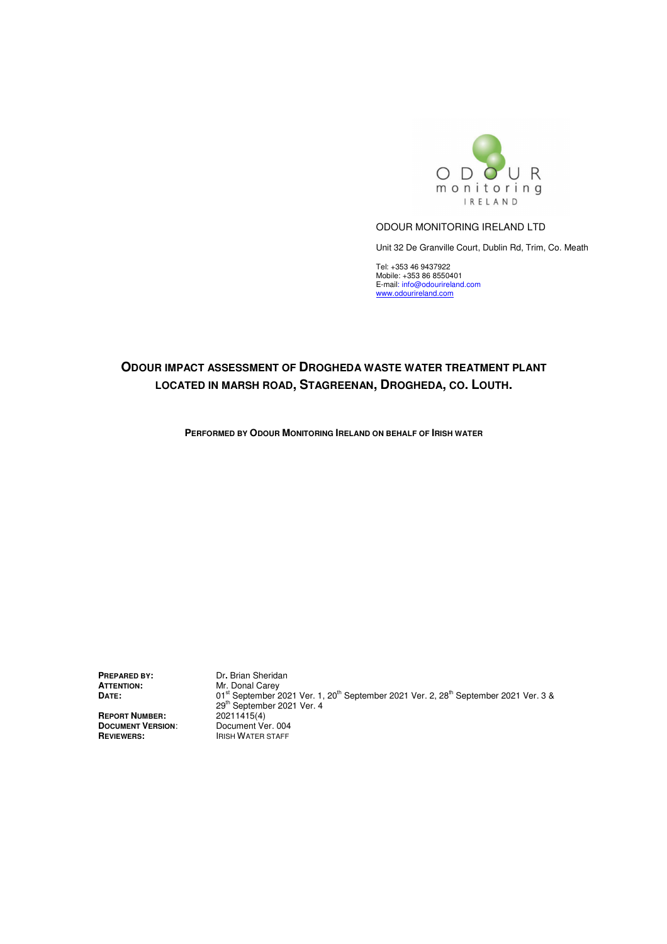

#### ODOUR MONITORING IRELAND LTD

Unit 32 De Granville Court, Dublin Rd, Trim, Co. Meath

Tel: +353 46 9437922 Mobile: +353 86 8550401 E-mail: info@odourireland.com<br>www.odourireland.com

# **ODOUR IMPACT ASSESSMENT OF DROGHEDA WASTE WATER TREATMENT PLANT LOCATED IN MARSH ROAD, STAGREENAN, DROGHEDA, CO. LOUTH.**

**PERFORMED BY ODOUR MONITORING IRELAND ON BEHALF OF IRISH WATER**

**ATTENTION:**<br>Date:

**REPORT NUMBER:** 20211415(4) **DOCUMENT VERSION:**<br>REVIEWERS:

**PREPARED BY:** Dr. Brian Sheridan<br> **ATTENTION:** Mr. Donal Carey 01st September 2021 Ver. 1, 20<sup>th</sup> September 2021 Ver. 2, 28<sup>th</sup> September 2021 Ver. 3 &  $29<sup>th</sup>$  September 2021 Ver. 4<br> $20211415(4)$ <br>Document Ver. 004 **IRISH WATER STAFF**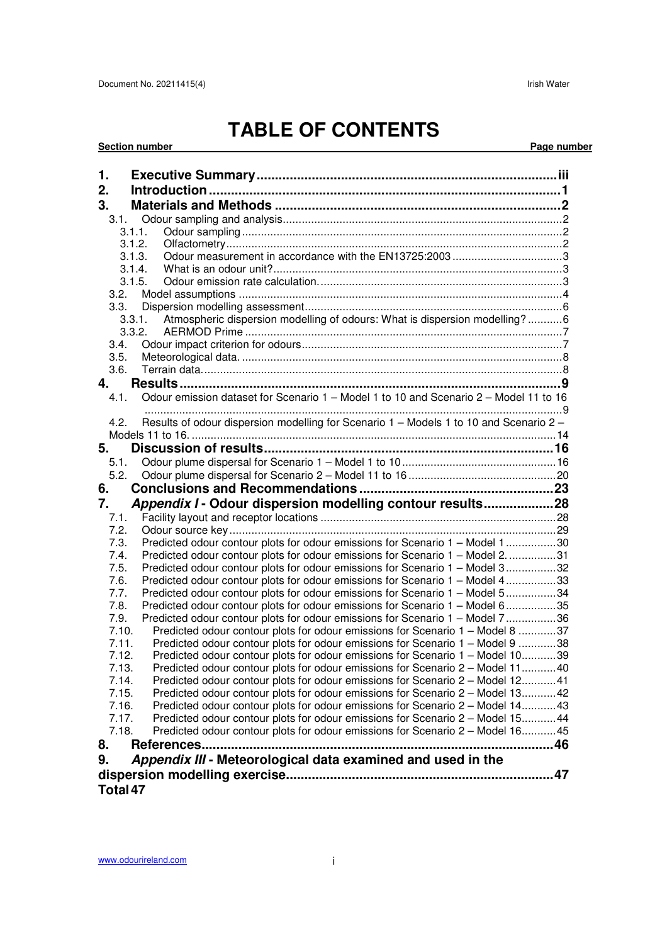# **TABLE OF CONTENTS**

**Section number Page number** Page number

| 1.             |                                                                                                                                                                |  |
|----------------|----------------------------------------------------------------------------------------------------------------------------------------------------------------|--|
|                |                                                                                                                                                                |  |
| 2.             |                                                                                                                                                                |  |
| 3.             |                                                                                                                                                                |  |
| 3.1.<br>3.1.1. |                                                                                                                                                                |  |
| 3.1.2.         |                                                                                                                                                                |  |
| 3.1.3.         | Odour measurement in accordance with the EN13725:2003 3                                                                                                        |  |
| 3.1.4.         |                                                                                                                                                                |  |
|                | 3.1.5.                                                                                                                                                         |  |
| 3.2.           |                                                                                                                                                                |  |
| 3.3.           |                                                                                                                                                                |  |
| 3.3.1.         | Atmospheric dispersion modelling of odours: What is dispersion modelling?6                                                                                     |  |
| 3.3.2.         |                                                                                                                                                                |  |
| 3.4.           |                                                                                                                                                                |  |
| 3.5.           |                                                                                                                                                                |  |
| 3.6.           |                                                                                                                                                                |  |
| 4.             |                                                                                                                                                                |  |
| 4.1.           | Odour emission dataset for Scenario 1 - Model 1 to 10 and Scenario 2 - Model 11 to 16                                                                          |  |
| 4.2.           | Results of odour dispersion modelling for Scenario 1 - Models 1 to 10 and Scenario 2 -                                                                         |  |
|                |                                                                                                                                                                |  |
| 5.             |                                                                                                                                                                |  |
| 5.1.           |                                                                                                                                                                |  |
| 5.2.           |                                                                                                                                                                |  |
| 6.             |                                                                                                                                                                |  |
| 7.             | Appendix I - Odour dispersion modelling contour results28                                                                                                      |  |
| 7.1.           |                                                                                                                                                                |  |
| 7.2.           |                                                                                                                                                                |  |
|                |                                                                                                                                                                |  |
| 7.3.           |                                                                                                                                                                |  |
| 7.4.           | Predicted odour contour plots for odour emissions for Scenario 1 - Model 1 30                                                                                  |  |
| 7.5.           | Predicted odour contour plots for odour emissions for Scenario 1 - Model 2. 31<br>Predicted odour contour plots for odour emissions for Scenario 1 - Model 332 |  |
| 7.6.           | Predicted odour contour plots for odour emissions for Scenario 1 - Model 433                                                                                   |  |
| 7.7.           | Predicted odour contour plots for odour emissions for Scenario 1 - Model 534                                                                                   |  |
| 7.8.           | Predicted odour contour plots for odour emissions for Scenario 1 - Model 635                                                                                   |  |
| 7.9.           | Predicted odour contour plots for odour emissions for Scenario 1 - Model 736                                                                                   |  |
| 7.10.          | Predicted odour contour plots for odour emissions for Scenario 1 – Model 8 37                                                                                  |  |
| 7.11.          | Predicted odour contour plots for odour emissions for Scenario 1 - Model 9 38                                                                                  |  |
| 7.12.          | Predicted odour contour plots for odour emissions for Scenario 1 – Model 1039                                                                                  |  |
| 7.13.          | Predicted odour contour plots for odour emissions for Scenario 2 – Model 1140                                                                                  |  |
| 7.14.          | Predicted odour contour plots for odour emissions for Scenario 2 – Model 1241                                                                                  |  |
| 7.15.          | Predicted odour contour plots for odour emissions for Scenario 2 - Model 1342                                                                                  |  |
| 7.16.          | Predicted odour contour plots for odour emissions for Scenario 2 - Model 1443                                                                                  |  |
| 7.17.          | Predicted odour contour plots for odour emissions for Scenario 2 – Model 1544                                                                                  |  |
| 7.18.          | Predicted odour contour plots for odour emissions for Scenario 2 - Model 1645                                                                                  |  |
| 8.             |                                                                                                                                                                |  |
| 9.             | Appendix III - Meteorological data examined and used in the                                                                                                    |  |
| Total 47       |                                                                                                                                                                |  |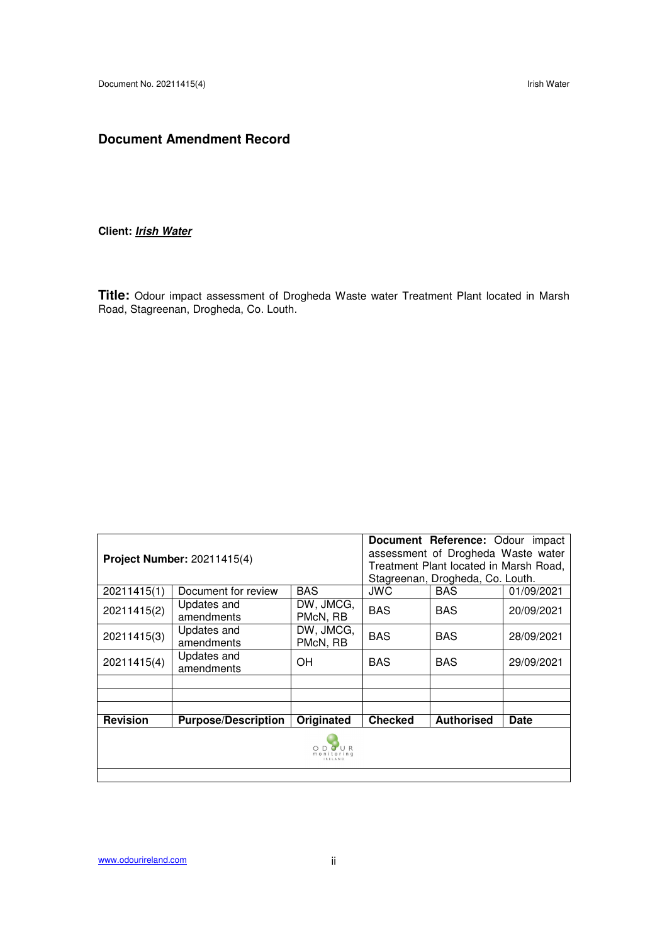# **Document Amendment Record**

# **Client: Irish Water**

**Title:** Odour impact assessment of Drogheda Waste water Treatment Plant located in Marsh Road, Stagreenan, Drogheda, Co. Louth.

|                 |                                    |                                                                              |                | Document Reference: Odour impact |             |  |  |  |  |  |
|-----------------|------------------------------------|------------------------------------------------------------------------------|----------------|----------------------------------|-------------|--|--|--|--|--|
|                 | <b>Project Number: 20211415(4)</b> | assessment of Drogheda Waste water<br>Treatment Plant located in Marsh Road, |                |                                  |             |  |  |  |  |  |
|                 |                                    |                                                                              |                |                                  |             |  |  |  |  |  |
|                 |                                    |                                                                              |                | Stagreenan, Drogheda, Co. Louth. |             |  |  |  |  |  |
| 20211415(1)     | Document for review                | <b>BAS</b>                                                                   | JWC            | <b>BAS</b>                       | 01/09/2021  |  |  |  |  |  |
|                 | Updates and                        | DW, JMCG,                                                                    | <b>BAS</b>     |                                  |             |  |  |  |  |  |
| 20211415(2)     | amendments                         | PMcN, RB                                                                     |                | <b>BAS</b>                       | 20/09/2021  |  |  |  |  |  |
| 20211415(3)     | Updates and                        | DW, JMCG,                                                                    | <b>BAS</b>     | <b>BAS</b>                       | 28/09/2021  |  |  |  |  |  |
|                 | amendments                         | PMcN, RB                                                                     |                |                                  |             |  |  |  |  |  |
| 20211415(4)     | Updates and                        | OH                                                                           | <b>BAS</b>     | <b>BAS</b>                       | 29/09/2021  |  |  |  |  |  |
|                 | amendments                         |                                                                              |                |                                  |             |  |  |  |  |  |
|                 |                                    |                                                                              |                |                                  |             |  |  |  |  |  |
|                 |                                    |                                                                              |                |                                  |             |  |  |  |  |  |
|                 |                                    |                                                                              |                |                                  |             |  |  |  |  |  |
| <b>Revision</b> | <b>Purpose/Description</b>         | Originated                                                                   | <b>Checked</b> | <b>Authorised</b>                | <b>Date</b> |  |  |  |  |  |
|                 |                                    |                                                                              |                |                                  |             |  |  |  |  |  |
|                 |                                    |                                                                              |                |                                  |             |  |  |  |  |  |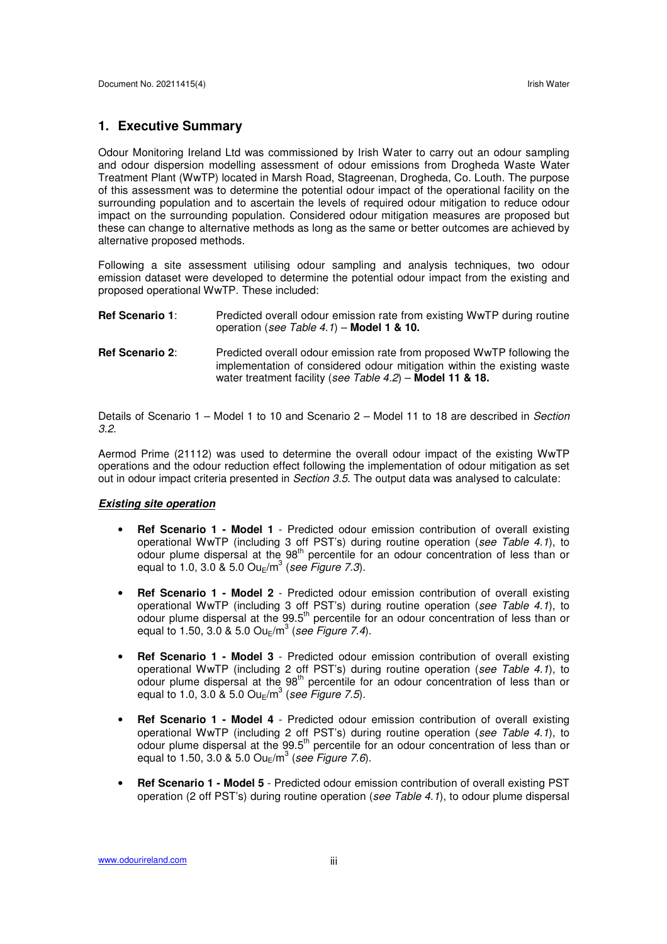#### **1. Executive Summary**

Odour Monitoring Ireland Ltd was commissioned by Irish Water to carry out an odour sampling and odour dispersion modelling assessment of odour emissions from Drogheda Waste Water Treatment Plant (WwTP) located in Marsh Road, Stagreenan, Drogheda, Co. Louth. The purpose of this assessment was to determine the potential odour impact of the operational facility on the surrounding population and to ascertain the levels of required odour mitigation to reduce odour impact on the surrounding population. Considered odour mitigation measures are proposed but these can change to alternative methods as long as the same or better outcomes are achieved by alternative proposed methods.

Following a site assessment utilising odour sampling and analysis techniques, two odour emission dataset were developed to determine the potential odour impact from the existing and proposed operational WwTP. These included:

| <b>Ref Scenario 1:</b> | Predicted overall odour emission rate from existing WwTP during routine<br>operation (see Table 4.1) – Model 1 & 10.                                                                                              |
|------------------------|-------------------------------------------------------------------------------------------------------------------------------------------------------------------------------------------------------------------|
| <b>Ref Scenario 2:</b> | Predicted overall odour emission rate from proposed WwTP following the<br>implementation of considered odour mitigation within the existing waste<br>water treatment facility (see Table $4.2$ ) – Model 11 & 18. |

Details of Scenario 1 – Model 1 to 10 and Scenario 2 – Model 11 to 18 are described in Section 3.2.

Aermod Prime (21112) was used to determine the overall odour impact of the existing WwTP operations and the odour reduction effect following the implementation of odour mitigation as set out in odour impact criteria presented in Section 3.5. The output data was analysed to calculate:

#### **Existing site operation**

- **Ref Scenario 1 Model 1** Predicted odour emission contribution of overall existing operational WwTP (including 3 off PST's) during routine operation (see Table 4.1), to odour plume dispersal at the 98<sup>th</sup> percentile for an odour concentration of less than or equal to 1.0, 3.0 & 5.0 Ou $_{\rm E}/{\rm m}^3$  (see Figure 7.3).
- **Ref Scenario 1 Model 2** Predicted odour emission contribution of overall existing operational WwTP (including 3 off PST's) during routine operation (see Table 4.1), to odour plume dispersal at the 99.5<sup>th</sup> percentile for an odour concentration of less than or equal to 1.50, 3.0 & 5.0 Ou $_{E}$ /m<sup>3</sup> (see Figure 7.4).
- **Ref Scenario 1 Model 3** Predicted odour emission contribution of overall existing operational WwTP (including 2 off PST's) during routine operation (see Table 4.1), to odour plume dispersal at the 98<sup>th</sup> percentile for an odour concentration of less than or equal to 1.0, 3.0 & 5.0 Ou $_{E}$ /m<sup>3</sup> (see Figure 7.5).
- **Ref Scenario 1 Model 4** Predicted odour emission contribution of overall existing operational WwTP (including 2 off PST's) during routine operation (see Table 4.1), to odour plume dispersal at the 99.5<sup>th</sup> percentile for an odour concentration of less than or equal to 1.50, 3.0 & 5.0 Ou $_{E}$ /m<sup>3</sup> (see Figure 7.6).
- **Ref Scenario 1 Model 5** Predicted odour emission contribution of overall existing PST operation (2 off PST's) during routine operation (see Table 4.1), to odour plume dispersal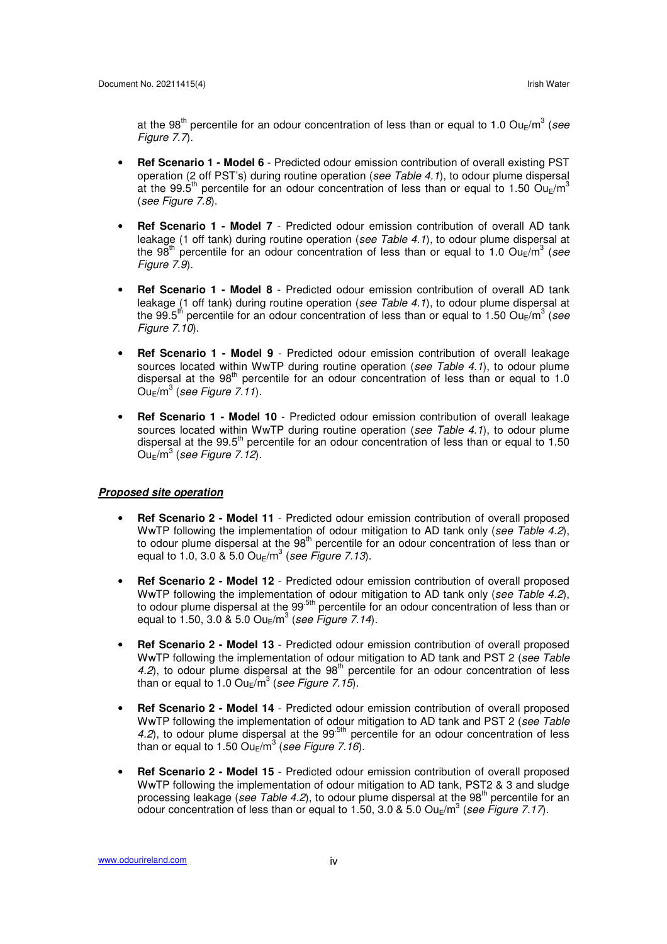at the 98<sup>th</sup> percentile for an odour concentration of less than or equal to 1.0 Ou<sub>E</sub>/m<sup>3</sup> (see Figure 7.7).

- **Ref Scenario 1 Model 6** Predicted odour emission contribution of overall existing PST operation (2 off PST's) during routine operation (see Table 4.1), to odour plume dispersal at the 99.5<sup>th</sup> percentile for an odour concentration of less than or equal to 1.50  $Ou<sub>E</sub>/m<sup>3</sup>$ (see Figure 7.8).
- **Ref Scenario 1 Model 7** Predicted odour emission contribution of overall AD tank leakage (1 off tank) during routine operation (see Table 4.1), to odour plume dispersal at the 98<sup>th</sup> percentile for an odour concentration of less than or equal to 1.0 Ou<sub>E</sub>/m<sup>3</sup> (see Figure 7.9).
- **Ref Scenario 1 Model 8** Predicted odour emission contribution of overall AD tank leakage (1 off tank) during routine operation (see Table 4.1), to odour plume dispersal at the 99.5<sup>th</sup> percentile for an odour concentration of less than or equal to 1.50 Ou<sub>E</sub>/m<sup>3</sup> (see Figure 7.10).
- **Ref Scenario 1 Model 9** Predicted odour emission contribution of overall leakage sources located within WwTP during routine operation (see Table  $4.1$ ), to odour plume dispersal at the  $98<sup>th</sup>$  percentile for an odour concentration of less than or equal to 1.0  $\mathsf{Ou}_{\mathsf{E}}/\mathsf{m}^3$  (see Figure 7.11).
- **Ref Scenario 1 Model 10** Predicted odour emission contribution of overall leakage sources located within WwTP during routine operation (see Table 4.1), to odour plume dispersal at the  $99.5<sup>th</sup>$  percentile for an odour concentration of less than or equal to 1.50  $Ou_E/m^3$  (see Figure 7.12).

#### **Proposed site operation**

- **Ref Scenario 2 Model 11** Predicted odour emission contribution of overall proposed WwTP following the implementation of odour mitigation to AD tank only (see Table 4.2), to odour plume dispersal at the 98<sup>th</sup> percentile for an odour concentration of less than or equal to 1.0, 3.0 & 5.0 Ou $_{\rm E}/{\rm m}^3$  (see Figure 7.13).
- **Ref Scenario 2 Model 12** Predicted odour emission contribution of overall proposed WwTP following the implementation of odour mitigation to AD tank only (see Table 4.2), to odour plume dispersal at the 99<sup>.5th</sup> percentile for an odour concentration of less than or equal to 1.50, 3.0 & 5.0 Ou $_{E}$ /m<sup>3</sup> (see Figure 7.14).
- **Ref Scenario 2 Model 13** Predicted odour emission contribution of overall proposed WwTP following the implementation of odour mitigation to AD tank and PST 2 (see Table 4.2), to odour plume dispersal at the  $98<sup>th</sup>$  percentile for an odour concentration of less than or equal to 1.0 Ou $_{\rm E}/{\rm m}^3$  (see Figure 7.15).
- **Ref Scenario 2 Model 14** Predicted odour emission contribution of overall proposed WwTP following the implementation of odour mitigation to AD tank and PST 2 (see Table  $4.2$ ), to odour plume dispersal at the 99<sup>-5th</sup> percentile for an odour concentration of less than or equal to 1.50 Ou $_{\rm E}/{\rm m}^3$  (see Figure 7.16).
- **Ref Scenario 2 Model 15** Predicted odour emission contribution of overall proposed WwTP following the implementation of odour mitigation to AD tank, PST2 & 3 and sludge processing leakage (see Table 4.2), to odour plume dispersal at the  $98<sup>th</sup>$  percentile for an odour concentration of less than or equal to 1.50, 3.0 & 5.0 Ou<sub>E</sub>/m<sup>3</sup> (see Figure 7.17).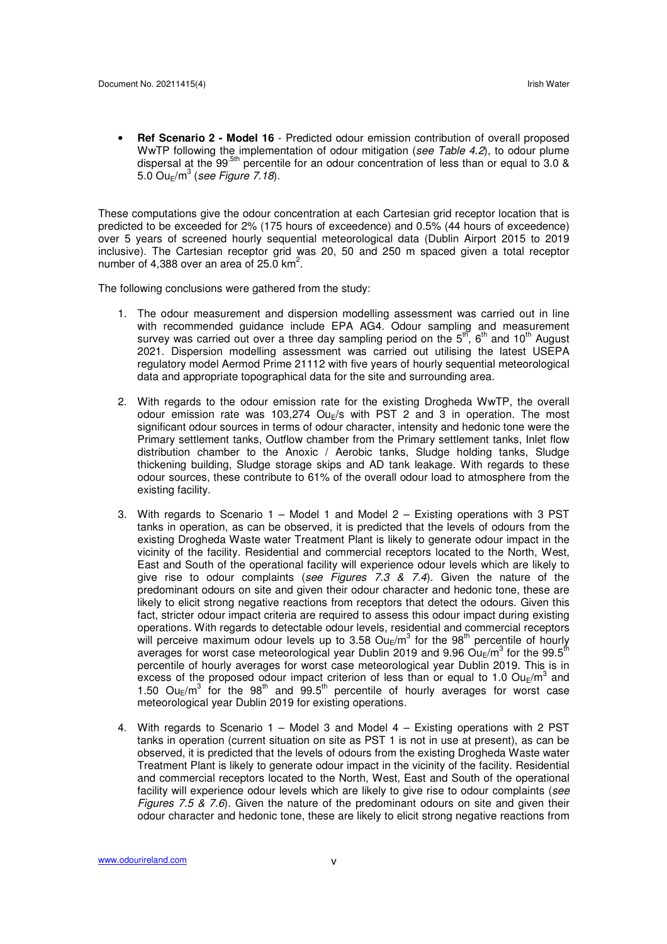• **Ref Scenario 2 - Model 16** - Predicted odour emission contribution of overall proposed WwTP following the implementation of odour mitigation (see Table 4.2), to odour plume dispersal at the 99<sup>.5th</sup> percentile for an odour concentration of less than or equal to 3.0 &  $5.0$  Ou $_{\rm E}/{\rm m}^3$  (see Figure 7.18).

These computations give the odour concentration at each Cartesian grid receptor location that is predicted to be exceeded for 2% (175 hours of exceedence) and 0.5% (44 hours of exceedence) over 5 years of screened hourly sequential meteorological data (Dublin Airport 2015 to 2019 inclusive). The Cartesian receptor grid was 20, 50 and 250 m spaced given a total receptor number of 4,388 over an area of 25.0  $km^2$ .

The following conclusions were gathered from the study:

- 1. The odour measurement and dispersion modelling assessment was carried out in line with recommended guidance include EPA AG4. Odour sampling and measurement survey was carried out over a three day sampling period on the  $5<sup>th</sup>$ ,  $6<sup>th</sup>$  and  $10<sup>th</sup>$  August 2021. Dispersion modelling assessment was carried out utilising the latest USEPA regulatory model Aermod Prime 21112 with five years of hourly sequential meteorological data and appropriate topographical data for the site and surrounding area.
- 2. With regards to the odour emission rate for the existing Drogheda WwTP, the overall odour emission rate was 103,274 Ou<sub>E</sub>/s with PST 2 and 3 in operation. The most significant odour sources in terms of odour character, intensity and hedonic tone were the Primary settlement tanks, Outflow chamber from the Primary settlement tanks, Inlet flow distribution chamber to the Anoxic / Aerobic tanks, Sludge holding tanks, Sludge thickening building, Sludge storage skips and AD tank leakage. With regards to these odour sources, these contribute to 61% of the overall odour load to atmosphere from the existing facility.
- 3. With regards to Scenario 1 Model 1 and Model 2 Existing operations with 3 PST tanks in operation, as can be observed, it is predicted that the levels of odours from the existing Drogheda Waste water Treatment Plant is likely to generate odour impact in the vicinity of the facility. Residential and commercial receptors located to the North, West, East and South of the operational facility will experience odour levels which are likely to give rise to odour complaints (see Figures 7.3  $\&$  7.4). Given the nature of the predominant odours on site and given their odour character and hedonic tone, these are likely to elicit strong negative reactions from receptors that detect the odours. Given this fact, stricter odour impact criteria are required to assess this odour impact during existing operations. With regards to detectable odour levels, residential and commercial receptors will perceive maximum odour levels up to 3.58  $Ou_{E}/m^{3}$  for the 98<sup>th</sup> percentile of hourly averages for worst case meteorological year Dublin 2019 and 9.96  $\mathsf{Ou}_{\mathsf{E}}/\mathsf{m}^3$  for the 99.5<sup>th</sup> percentile of hourly averages for worst case meteorological year Dublin 2019. This is in excess of the proposed odour impact criterion of less than or equal to 1.0  $Ou_{E}/m^{3}$  and 1.50  $Ou_E/m^3$  for the 98<sup>th</sup> and 99.5<sup>th</sup> percentile of hourly averages for worst case meteorological year Dublin 2019 for existing operations.
- 4. With regards to Scenario 1 Model 3 and Model 4 Existing operations with 2 PST tanks in operation (current situation on site as PST 1 is not in use at present), as can be observed, it is predicted that the levels of odours from the existing Drogheda Waste water Treatment Plant is likely to generate odour impact in the vicinity of the facility. Residential and commercial receptors located to the North, West, East and South of the operational facility will experience odour levels which are likely to give rise to odour complaints (see Figures 7.5  $\&$  7.6). Given the nature of the predominant odours on site and given their odour character and hedonic tone, these are likely to elicit strong negative reactions from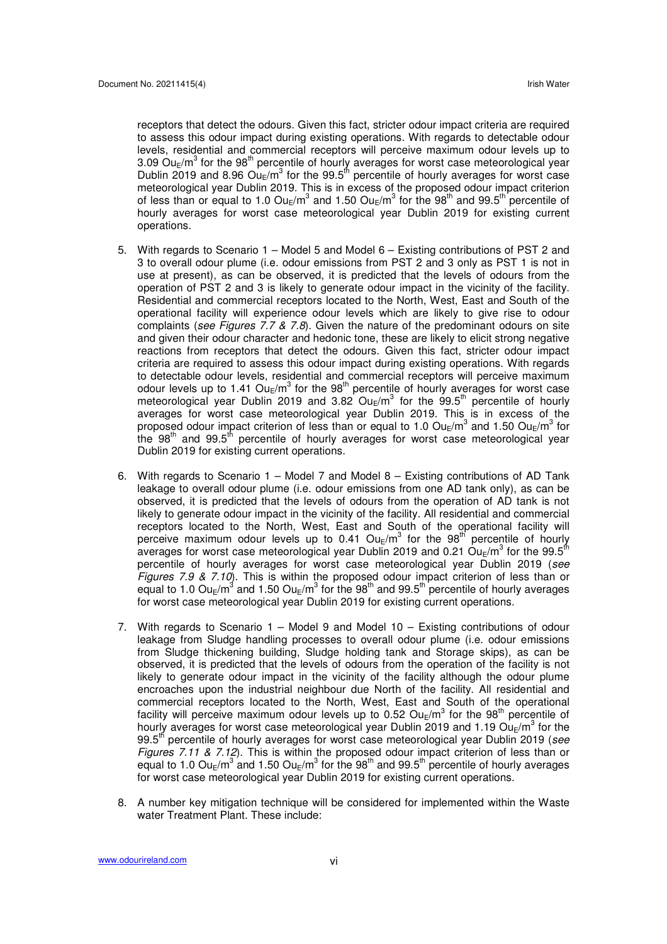receptors that detect the odours. Given this fact, stricter odour impact criteria are required to assess this odour impact during existing operations. With regards to detectable odour levels, residential and commercial receptors will perceive maximum odour levels up to 3.09 Ou<sub>E</sub>/m<sup>3</sup> for the 98<sup>th</sup> percentile of hourly averages for worst case meteorological year Dublin 2019 and 8.96  $\text{Ou}_\text{E}/\text{m}^3$  for the 99.5<sup>th</sup> percentile of hourly averages for worst case meteorological year Dublin 2019. This is in excess of the proposed odour impact criterion of less than or equal to 1.0 Ou<sub>E</sub>/m<sup>3</sup> and 1.50 Ou<sub>E</sub>/m<sup>3</sup> for the 98<sup>th</sup> and 99.5<sup>th</sup> percentile of hourly averages for worst case meteorological year Dublin 2019 for existing current operations.

- 5. With regards to Scenario 1 Model 5 and Model 6 Existing contributions of PST 2 and 3 to overall odour plume (i.e. odour emissions from PST 2 and 3 only as PST 1 is not in use at present), as can be observed, it is predicted that the levels of odours from the operation of PST 2 and 3 is likely to generate odour impact in the vicinity of the facility. Residential and commercial receptors located to the North, West, East and South of the operational facility will experience odour levels which are likely to give rise to odour complaints (see Figures 7.7 & 7.8). Given the nature of the predominant odours on site and given their odour character and hedonic tone, these are likely to elicit strong negative reactions from receptors that detect the odours. Given this fact, stricter odour impact criteria are required to assess this odour impact during existing operations. With regards to detectable odour levels, residential and commercial receptors will perceive maximum odour levels up to 1.41  $\mathsf{Ou}_\mathsf{E}/\mathsf{m}^3$  for the 98<sup>th</sup> percentile of hourly averages for worst case meteorological year Dublin 2019 and 3.82  $O$ u<sub>E</sub>/m<sup>3</sup> for the 99.5<sup>th</sup> percentile of hourly averages for worst case meteorological year Dublin 2019. This is in excess of the proposed odour impact criterion of less than or equal to 1.0  $\textsf{Ou}_{\textsf{E}}/\textsf{m}^3$  and 1.50  $\textsf{Ou}_{\textsf{E}}/\textsf{m}^3$  for the 98<sup>th</sup> and 99.5<sup>th</sup> percentile of hourly averages for worst case meteorological year Dublin 2019 for existing current operations.
- 6. With regards to Scenario 1 Model 7 and Model 8 Existing contributions of AD Tank leakage to overall odour plume (i.e. odour emissions from one AD tank only), as can be observed, it is predicted that the levels of odours from the operation of AD tank is not likely to generate odour impact in the vicinity of the facility. All residential and commercial receptors located to the North, West, East and South of the operational facility will perceive maximum odour levels up to 0.41  $Ou_{E}/m^{3}$  for the 98<sup>th</sup> percentile of hourly averages for worst case meteorological year Dublin 2019 and 0.21  $\mathsf{Ou}_\mathsf{E}/\mathsf{m}^3$  for the 99.5 $^\mathsf{fn}$ percentile of hourly averages for worst case meteorological year Dublin 2019 (see Figures 7.9 & 7.10). This is within the proposed odour impact criterion of less than or equal to 1.0 Ou<sub>E</sub>/m<sup>3</sup> and 1.50 Ou<sub>E</sub>/m<sup>3</sup> for the 98<sup>th</sup> and 99.5<sup>th</sup> percentile of hourly averages for worst case meteorological year Dublin 2019 for existing current operations.
- 7. With regards to Scenario 1 Model 9 and Model 10 Existing contributions of odour leakage from Sludge handling processes to overall odour plume (i.e. odour emissions from Sludge thickening building, Sludge holding tank and Storage skips), as can be observed, it is predicted that the levels of odours from the operation of the facility is not likely to generate odour impact in the vicinity of the facility although the odour plume encroaches upon the industrial neighbour due North of the facility. All residential and commercial receptors located to the North, West, East and South of the operational facility will perceive maximum odour levels up to 0.52  $\textsf{Ou}_{\textsf{E}}/\textsf{m}^3$  for the 98<sup>th</sup> percentile of hourly averages for worst case meteorological year Dublin 2019 and 1.19 Ou<sub>E</sub>/m<sup>3</sup> for the  $99.5<sup>th</sup>$  percentile of hourly averages for worst case meteorological year Dublin 2019 (see Figures 7.11 & 7.12). This is within the proposed odour impact criterion of less than or equal to 1.0 Ou<sub>E</sub>/m<sup>3</sup> and 1.50 Ou<sub>E</sub>/m<sup>3</sup> for the 98<sup>th</sup> and 99.5<sup>th</sup> percentile of hourly averages for worst case meteorological year Dublin 2019 for existing current operations.
- 8. A number key mitigation technique will be considered for implemented within the Waste water Treatment Plant. These include: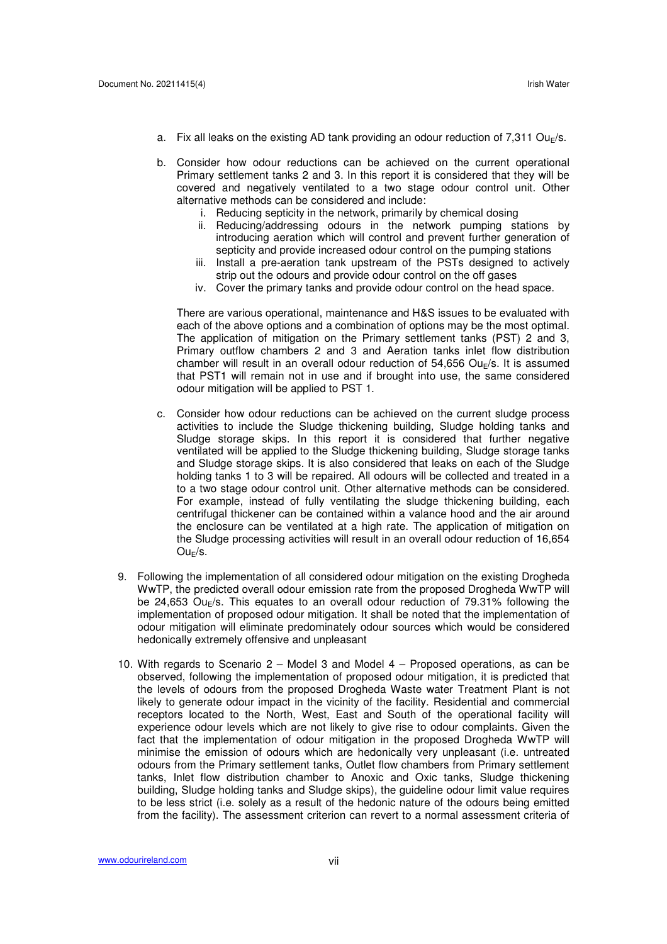- a. Fix all leaks on the existing AD tank providing an odour reduction of 7,311 Ou<sub>E</sub>/s.
- b. Consider how odour reductions can be achieved on the current operational Primary settlement tanks 2 and 3. In this report it is considered that they will be covered and negatively ventilated to a two stage odour control unit. Other alternative methods can be considered and include:
	- i. Reducing septicity in the network, primarily by chemical dosing
	- ii. Reducing/addressing odours in the network pumping stations by introducing aeration which will control and prevent further generation of septicity and provide increased odour control on the pumping stations
	- iii. Install a pre-aeration tank upstream of the PSTs designed to actively strip out the odours and provide odour control on the off gases
	- iv. Cover the primary tanks and provide odour control on the head space.

There are various operational, maintenance and H&S issues to be evaluated with each of the above options and a combination of options may be the most optimal. The application of mitigation on the Primary settlement tanks (PST) 2 and 3, Primary outflow chambers 2 and 3 and Aeration tanks inlet flow distribution chamber will result in an overall odour reduction of  $54,656$  Ou<sub>F</sub>/s. It is assumed that PST1 will remain not in use and if brought into use, the same considered odour mitigation will be applied to PST 1.

- c. Consider how odour reductions can be achieved on the current sludge process activities to include the Sludge thickening building, Sludge holding tanks and Sludge storage skips. In this report it is considered that further negative ventilated will be applied to the Sludge thickening building, Sludge storage tanks and Sludge storage skips. It is also considered that leaks on each of the Sludge holding tanks 1 to 3 will be repaired. All odours will be collected and treated in a to a two stage odour control unit. Other alternative methods can be considered. For example, instead of fully ventilating the sludge thickening building, each centrifugal thickener can be contained within a valance hood and the air around the enclosure can be ventilated at a high rate. The application of mitigation on the Sludge processing activities will result in an overall odour reduction of 16,654  $Ou_E$ /s.
- 9. Following the implementation of all considered odour mitigation on the existing Drogheda WwTP, the predicted overall odour emission rate from the proposed Drogheda WwTP will be 24,653 Ou<sub>E</sub>/s. This equates to an overall odour reduction of 79.31% following the implementation of proposed odour mitigation. It shall be noted that the implementation of odour mitigation will eliminate predominately odour sources which would be considered hedonically extremely offensive and unpleasant
- 10. With regards to Scenario 2 Model 3 and Model 4 Proposed operations, as can be observed, following the implementation of proposed odour mitigation, it is predicted that the levels of odours from the proposed Drogheda Waste water Treatment Plant is not likely to generate odour impact in the vicinity of the facility. Residential and commercial receptors located to the North, West, East and South of the operational facility will experience odour levels which are not likely to give rise to odour complaints. Given the fact that the implementation of odour mitigation in the proposed Drogheda WwTP will minimise the emission of odours which are hedonically very unpleasant (i.e. untreated odours from the Primary settlement tanks, Outlet flow chambers from Primary settlement tanks, Inlet flow distribution chamber to Anoxic and Oxic tanks, Sludge thickening building, Sludge holding tanks and Sludge skips), the guideline odour limit value requires to be less strict (i.e. solely as a result of the hedonic nature of the odours being emitted from the facility). The assessment criterion can revert to a normal assessment criteria of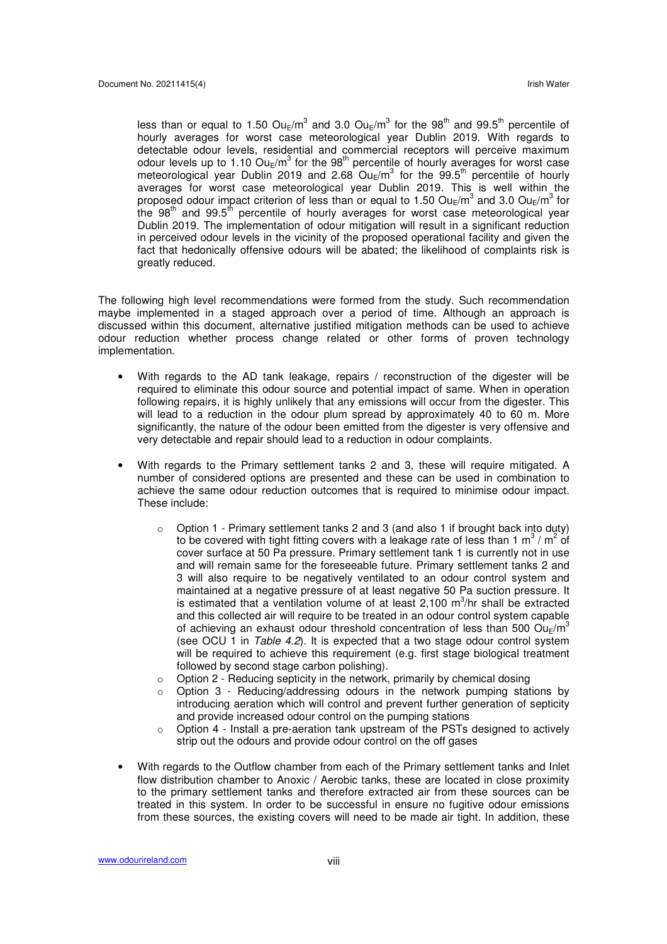less than or equal to 1.50  $Ou_{E}/m^{3}$  and 3.0  $Ou_{E}/m^{3}$  for the 98<sup>th</sup> and 99.5<sup>th</sup> percentile of hourly averages for worst case meteorological year Dublin 2019. With regards to detectable odour levels, residential and commercial receptors will perceive maximum odour levels up to 1.10  $Ou_{E}/m^{3}$  for the 98<sup>th</sup> percentile of hourly averages for worst case meteorological year Dublin 2019 and 2.68  $Ou_E/m^3$  for the 99.5<sup>th</sup> percentile of hourly averages for worst case meteorological year Dublin 2019. This is well within the proposed odour impact criterion of less than or equal to 1.50  $\textsf{Ou}_{\textsf{E}}/\textsf{m}^3$  and 3.0  $\textsf{Ou}_{\textsf{E}}/\textsf{m}^3$  for the 98<sup>th</sup> and 99.5<sup>th</sup> percentile of hourly averages for worst case meteorological year Dublin 2019. The implementation of odour mitigation will result in a significant reduction in perceived odour levels in the vicinity of the proposed operational facility and given the fact that hedonically offensive odours will be abated; the likelihood of complaints risk is greatly reduced.

The following high level recommendations were formed from the study. Such recommendation maybe implemented in a staged approach over a period of time. Although an approach is discussed within this document, alternative justified mitigation methods can be used to achieve odour reduction whether process change related or other forms of proven technology implementation.

- With regards to the AD tank leakage, repairs / reconstruction of the digester will be required to eliminate this odour source and potential impact of same. When in operation following repairs, it is highly unlikely that any emissions will occur from the digester. This will lead to a reduction in the odour plum spread by approximately 40 to 60 m. More significantly, the nature of the odour been emitted from the digester is very offensive and very detectable and repair should lead to a reduction in odour complaints.
- With regards to the Primary settlement tanks 2 and 3, these will require mitigated. A number of considered options are presented and these can be used in combination to achieve the same odour reduction outcomes that is required to minimise odour impact. These include:
	- $\circ$  Option 1 Primary settlement tanks 2 and 3 (and also 1 if brought back into duty) to be covered with tight fitting covers with a leakage rate of less than 1 m<sup>3</sup> / m<sup>2</sup> of cover surface at 50 Pa pressure. Primary settlement tank 1 is currently not in use and will remain same for the foreseeable future. Primary settlement tanks 2 and 3 will also require to be negatively ventilated to an odour control system and maintained at a negative pressure of at least negative 50 Pa suction pressure. It is estimated that a ventilation volume of at least 2,100  $m^3/nr$  shall be extracted and this collected air will require to be treated in an odour control system capable of achieving an exhaust odour threshold concentration of less than 500  $\text{Ou}_\text{F}/\text{m}^3$ (see OCU 1 in Table 4.2). It is expected that a two stage odour control system will be required to achieve this requirement (e.g. first stage biological treatment followed by second stage carbon polishing).
	- o Option 2 Reducing septicity in the network, primarily by chemical dosing
	- o Option 3 Reducing/addressing odours in the network pumping stations by introducing aeration which will control and prevent further generation of septicity and provide increased odour control on the pumping stations
	- $\circ$  Option 4 Install a pre-aeration tank upstream of the PSTs designed to actively strip out the odours and provide odour control on the off gases
- With regards to the Outflow chamber from each of the Primary settlement tanks and Inlet flow distribution chamber to Anoxic / Aerobic tanks, these are located in close proximity to the primary settlement tanks and therefore extracted air from these sources can be treated in this system. In order to be successful in ensure no fugitive odour emissions from these sources, the existing covers will need to be made air tight. In addition, these

www.odourireland.com viii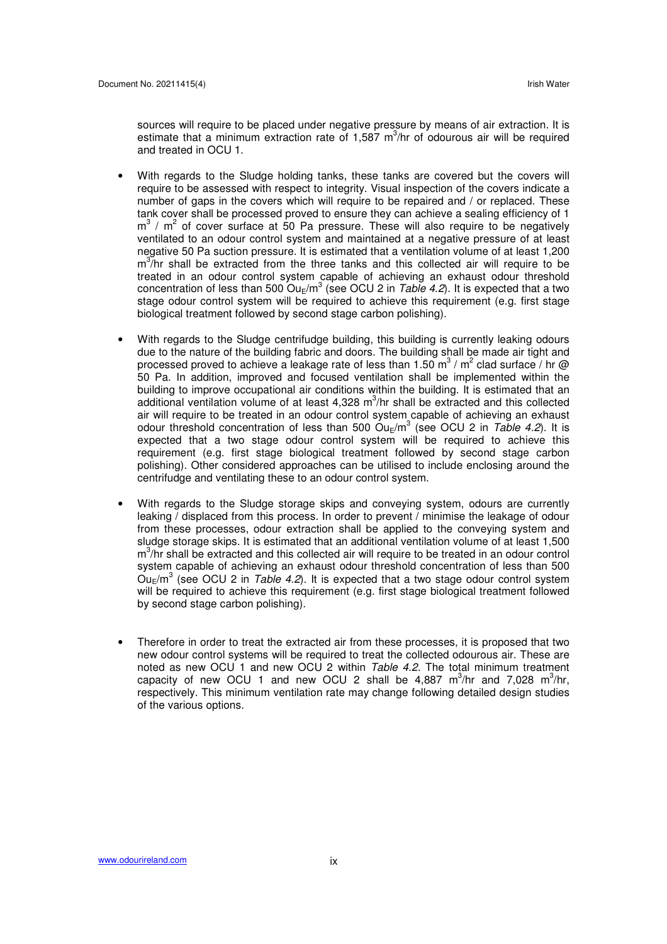sources will require to be placed under negative pressure by means of air extraction. It is estimate that a minimum extraction rate of 1,587  $m^3/nr$  of odourous air will be required and treated in OCU 1.

- With regards to the Sludge holding tanks, these tanks are covered but the covers will require to be assessed with respect to integrity. Visual inspection of the covers indicate a number of gaps in the covers which will require to be repaired and / or replaced. These tank cover shall be processed proved to ensure they can achieve a sealing efficiency of 1  $m<sup>3</sup>$  /  $m<sup>2</sup>$  of cover surface at 50 Pa pressure. These will also require to be negatively ventilated to an odour control system and maintained at a negative pressure of at least negative 50 Pa suction pressure. It is estimated that a ventilation volume of at least 1,200 m<sup>3</sup>/hr shall be extracted from the three tanks and this collected air will require to be treated in an odour control system capable of achieving an exhaust odour threshold concentration of less than 500  $\textsf{Ou}_{\textsf{E}}/\textsf{m}^3$  (see OCU 2 in Table 4.2). It is expected that a two stage odour control system will be required to achieve this requirement (e.g. first stage biological treatment followed by second stage carbon polishing).
- With regards to the Sludge centrifudge building, this building is currently leaking odours due to the nature of the building fabric and doors. The building shall be made air tight and processed proved to achieve a leakage rate of less than 1.50  $\text{m}^{3}$  /  $\text{m}^{2}$  clad surface / hr @ 50 Pa. In addition, improved and focused ventilation shall be implemented within the building to improve occupational air conditions within the building. It is estimated that an additional ventilation volume of at least 4,328 m<sup>3</sup>/hr shall be extracted and this collected air will require to be treated in an odour control system capable of achieving an exhaust odour threshold concentration of less than 500  $\text{Ou}_{E}/\text{m}^{3}$  (see OCU 2 in Table 4.2). It is expected that a two stage odour control system will be required to achieve this requirement (e.g. first stage biological treatment followed by second stage carbon polishing). Other considered approaches can be utilised to include enclosing around the centrifudge and ventilating these to an odour control system.
- With regards to the Sludge storage skips and conveying system, odours are currently leaking / displaced from this process. In order to prevent / minimise the leakage of odour from these processes, odour extraction shall be applied to the conveying system and sludge storage skips. It is estimated that an additional ventilation volume of at least 1,500 m<sup>3</sup>/hr shall be extracted and this collected air will require to be treated in an odour control system capable of achieving an exhaust odour threshold concentration of less than 500  $\text{O}_{\text{UE}}/\text{m}^3$  (see OCU 2 in Table 4.2). It is expected that a two stage odour control system will be required to achieve this requirement (e.g. first stage biological treatment followed by second stage carbon polishing).
- Therefore in order to treat the extracted air from these processes, it is proposed that two new odour control systems will be required to treat the collected odourous air. These are noted as new OCU 1 and new OCU 2 within Table 4.2. The total minimum treatment capacity of new OCU 1 and new OCU 2 shall be 4,887  $m^3/nr$  and 7,028  $m^3/hr$ , respectively. This minimum ventilation rate may change following detailed design studies of the various options.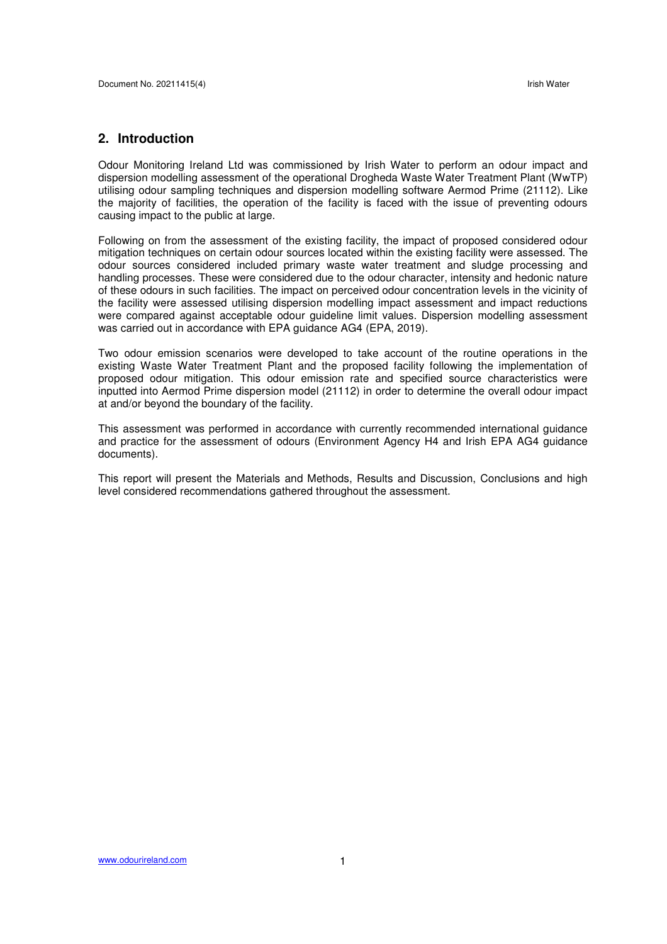# **2. Introduction**

Odour Monitoring Ireland Ltd was commissioned by Irish Water to perform an odour impact and dispersion modelling assessment of the operational Drogheda Waste Water Treatment Plant (WwTP) utilising odour sampling techniques and dispersion modelling software Aermod Prime (21112). Like the majority of facilities, the operation of the facility is faced with the issue of preventing odours causing impact to the public at large.

Following on from the assessment of the existing facility, the impact of proposed considered odour mitigation techniques on certain odour sources located within the existing facility were assessed. The odour sources considered included primary waste water treatment and sludge processing and handling processes. These were considered due to the odour character, intensity and hedonic nature of these odours in such facilities. The impact on perceived odour concentration levels in the vicinity of the facility were assessed utilising dispersion modelling impact assessment and impact reductions were compared against acceptable odour guideline limit values. Dispersion modelling assessment was carried out in accordance with EPA guidance AG4 (EPA, 2019).

Two odour emission scenarios were developed to take account of the routine operations in the existing Waste Water Treatment Plant and the proposed facility following the implementation of proposed odour mitigation. This odour emission rate and specified source characteristics were inputted into Aermod Prime dispersion model (21112) in order to determine the overall odour impact at and/or beyond the boundary of the facility.

This assessment was performed in accordance with currently recommended international guidance and practice for the assessment of odours (Environment Agency H4 and Irish EPA AG4 guidance documents).

This report will present the Materials and Methods, Results and Discussion, Conclusions and high level considered recommendations gathered throughout the assessment.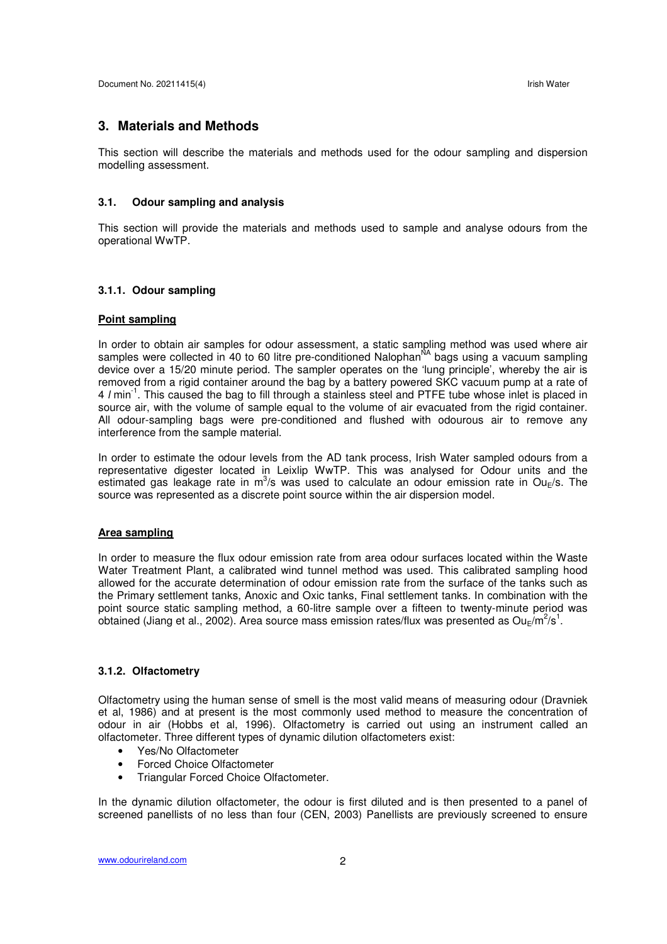### **3. Materials and Methods**

This section will describe the materials and methods used for the odour sampling and dispersion modelling assessment.

#### **3.1. Odour sampling and analysis**

This section will provide the materials and methods used to sample and analyse odours from the operational WwTP.

#### **3.1.1. Odour sampling**

# **Point sampling**

In order to obtain air samples for odour assessment, a static sampling method was used where air samples were collected in 40 to 60 litre pre-conditioned Nalophan<sup>NA</sup> bags using a vacuum sampling device over a 15/20 minute period. The sampler operates on the 'lung principle', whereby the air is removed from a rigid container around the bag by a battery powered SKC vacuum pump at a rate of 4 l min-1. This caused the bag to fill through a stainless steel and PTFE tube whose inlet is placed in source air, with the volume of sample equal to the volume of air evacuated from the rigid container. All odour-sampling bags were pre-conditioned and flushed with odourous air to remove any interference from the sample material.

In order to estimate the odour levels from the AD tank process, Irish Water sampled odours from a representative digester located in Leixlip WwTP. This was analysed for Odour units and the estimated gas leakage rate in m<sup>3</sup>/s was used to calculate an odour emission rate in Ou<sub>E</sub>/s. The source was represented as a discrete point source within the air dispersion model.

#### **Area sampling**

In order to measure the flux odour emission rate from area odour surfaces located within the Waste Water Treatment Plant, a calibrated wind tunnel method was used. This calibrated sampling hood allowed for the accurate determination of odour emission rate from the surface of the tanks such as the Primary settlement tanks, Anoxic and Oxic tanks, Final settlement tanks. In combination with the point source static sampling method, a 60-litre sample over a fifteen to twenty-minute period was obtained (Jiang et al., 2002). Area source mass emission rates/flux was presented as  $\textsf{Ou}_{\textsf{E}}/\textsf{m}^2/\textsf{s}^1$ .

#### **3.1.2. Olfactometry**

Olfactometry using the human sense of smell is the most valid means of measuring odour (Dravniek et al, 1986) and at present is the most commonly used method to measure the concentration of odour in air (Hobbs et al, 1996). Olfactometry is carried out using an instrument called an olfactometer. Three different types of dynamic dilution olfactometers exist:

- Yes/No Olfactometer
- Forced Choice Olfactometer
- Triangular Forced Choice Olfactometer.

In the dynamic dilution olfactometer, the odour is first diluted and is then presented to a panel of screened panellists of no less than four (CEN, 2003) Panellists are previously screened to ensure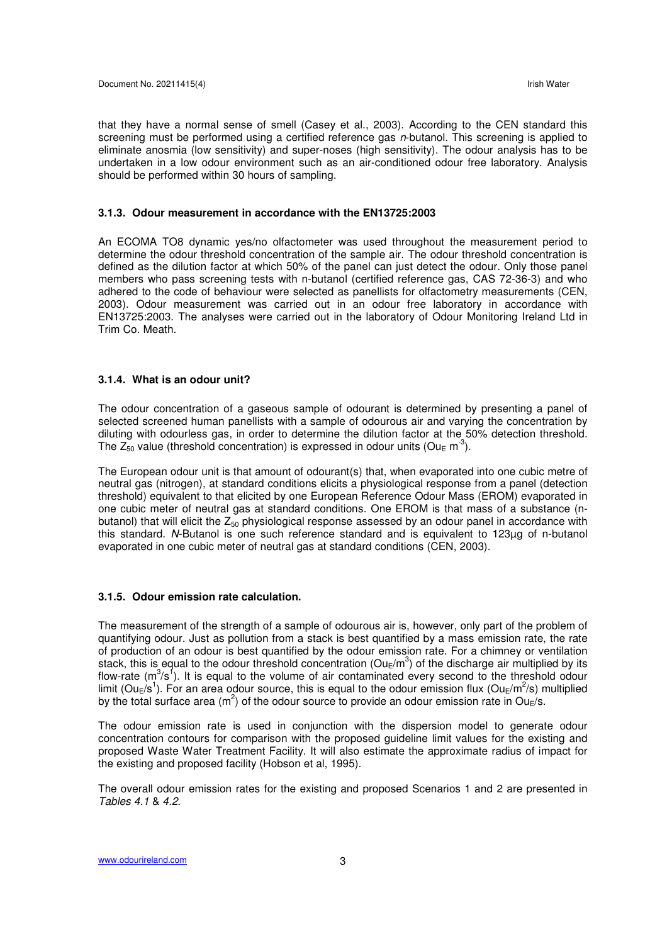that they have a normal sense of smell (Casey et al., 2003). According to the CEN standard this screening must be performed using a certified reference gas n-butanol. This screening is applied to eliminate anosmia (low sensitivity) and super-noses (high sensitivity). The odour analysis has to be undertaken in a low odour environment such as an air-conditioned odour free laboratory. Analysis should be performed within 30 hours of sampling.

#### **3.1.3. Odour measurement in accordance with the EN13725:2003**

An ECOMA TO8 dynamic yes/no olfactometer was used throughout the measurement period to determine the odour threshold concentration of the sample air. The odour threshold concentration is defined as the dilution factor at which 50% of the panel can just detect the odour. Only those panel members who pass screening tests with n-butanol (certified reference gas, CAS 72-36-3) and who adhered to the code of behaviour were selected as panellists for olfactometry measurements (CEN, 2003). Odour measurement was carried out in an odour free laboratory in accordance with EN13725:2003. The analyses were carried out in the laboratory of Odour Monitoring Ireland Ltd in Trim Co. Meath.

#### **3.1.4. What is an odour unit?**

The odour concentration of a gaseous sample of odourant is determined by presenting a panel of selected screened human panellists with a sample of odourous air and varying the concentration by diluting with odourless gas, in order to determine the dilution factor at the 50% detection threshold. The  $Z_{50}$  value (threshold concentration) is expressed in odour units (Ou<sub>E</sub> m<sup>-3</sup>).

The European odour unit is that amount of odourant(s) that, when evaporated into one cubic metre of neutral gas (nitrogen), at standard conditions elicits a physiological response from a panel (detection threshold) equivalent to that elicited by one European Reference Odour Mass (EROM) evaporated in one cubic meter of neutral gas at standard conditions. One EROM is that mass of a substance (nbutanol) that will elicit the  $Z_{50}$  physiological response assessed by an odour panel in accordance with this standard. N-Butanol is one such reference standard and is equivalent to 123µg of n-butanol evaporated in one cubic meter of neutral gas at standard conditions (CEN, 2003).

#### **3.1.5. Odour emission rate calculation.**

The measurement of the strength of a sample of odourous air is, however, only part of the problem of quantifying odour. Just as pollution from a stack is best quantified by a mass emission rate, the rate of production of an odour is best quantified by the odour emission rate. For a chimney or ventilation stack, this is equal to the odour threshold concentration (Ou<sub>E</sub>/m<sup>3</sup>) of the discharge air multiplied by its flow-rate ( $m^3/s^1$ ). It is equal to the volume of air contaminated every second to the threshold odour limit (Ou<sub>E</sub>/s<sup>1</sup>). For an area odour source, this is equal to the odour emission flux (Ou<sub>E</sub>/m<sup>2</sup>/s) multiplied by the total surface area (m<sup>2</sup>) of the odour source to provide an odour emission rate in Ou<sub>E</sub>/s.

The odour emission rate is used in conjunction with the dispersion model to generate odour concentration contours for comparison with the proposed guideline limit values for the existing and proposed Waste Water Treatment Facility. It will also estimate the approximate radius of impact for the existing and proposed facility (Hobson et al, 1995).

The overall odour emission rates for the existing and proposed Scenarios 1 and 2 are presented in Tables 4.1 & 4.2.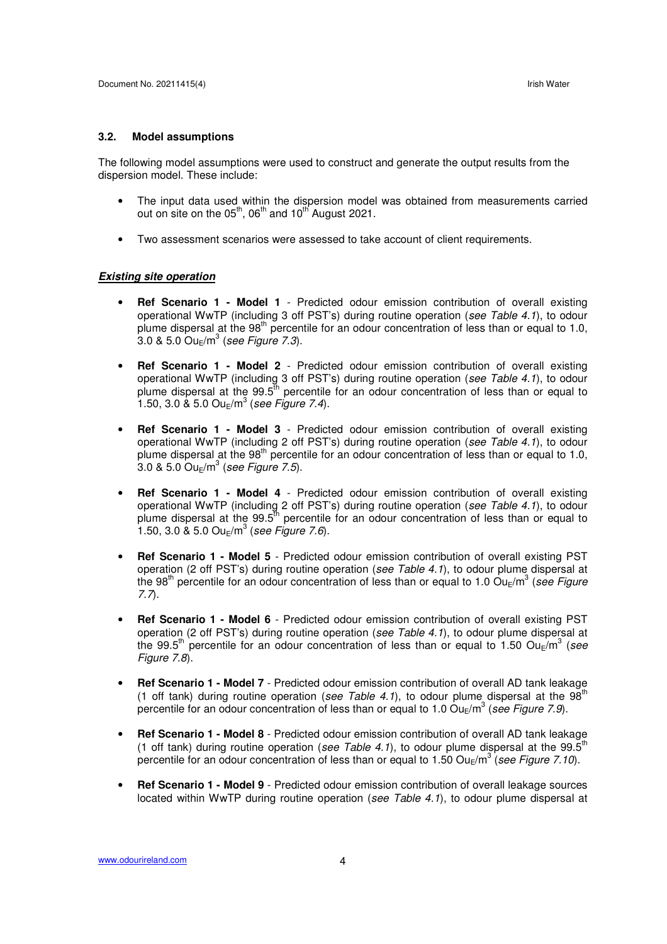#### **3.2. Model assumptions**

The following model assumptions were used to construct and generate the output results from the dispersion model. These include:

- The input data used within the dispersion model was obtained from measurements carried out on site on the  $05<sup>th</sup>$ ,  $06<sup>th</sup>$  and  $10<sup>th</sup>$  August 2021.
- Two assessment scenarios were assessed to take account of client requirements.

#### **Existing site operation**

- **Ref Scenario 1 Model 1** Predicted odour emission contribution of overall existing operational WwTP (including 3 off PST's) during routine operation (see Table 4.1), to odour plume dispersal at the  $98<sup>th</sup>$  percentile for an odour concentration of less than or equal to 1.0,  $3.0$  &  $5.0$  Ou<sub>E</sub>/m $^3$  (see Figure 7.3).
- **Ref Scenario 1 Model 2** Predicted odour emission contribution of overall existing operational WwTP (including 3 off PST's) during routine operation (see Table 4.1), to odour plume dispersal at the  $99.5<sup>th</sup>$  percentile for an odour concentration of less than or equal to 1.50, 3.0 & 5.0  $Ou_E/m^3$  (see Figure 7.4).
- **Ref Scenario 1 Model 3** Predicted odour emission contribution of overall existing operational WwTP (including 2 off PST's) during routine operation (see Table 4.1), to odour plume dispersal at the  $98<sup>th</sup>$  percentile for an odour concentration of less than or equal to 1.0,  $3.0$  & 5.0 Ou<sub>E</sub>/m $^3$  (see Figure 7.5).
- **Ref Scenario 1 Model 4** Predicted odour emission contribution of overall existing operational WwTP (including 2 off PST's) during routine operation (see Table 4.1), to odour plume dispersal at the  $99.5<sup>th</sup>$  percentile for an odour concentration of less than or equal to 1.50, 3.0  $\&$  5.0 Ou $_{\rm E}/{\rm m}^3$  (see Figure 7.6).
- **Ref Scenario 1 Model 5** Predicted odour emission contribution of overall existing PST operation (2 off PST's) during routine operation (see Table 4.1), to odour plume dispersal at the 98<sup>th</sup> percentile for an odour concentration of less than or equal to 1.0 Ou<sub>E</sub>/m<sup>3</sup> (see Figure 7.7).
- **Ref Scenario 1 Model 6** Predicted odour emission contribution of overall existing PST operation (2 off PST's) during routine operation (see Table 4.1), to odour plume dispersal at the 99.5<sup>th</sup> percentile for an odour concentration of less than or equal to 1.50 Ou<sub>E</sub>/m<sup>3</sup> (see Figure 7.8).
- **Ref Scenario 1 Model 7** Predicted odour emission contribution of overall AD tank leakage (1 off tank) during routine operation (see Table 4.1), to odour plume dispersal at the  $98<sup>th</sup>$ percentile for an odour concentration of less than or equal to 1.0 Ou<sub>E</sub>/m<sup>3</sup> (see Figure 7.9).
- **Ref Scenario 1 Model 8** Predicted odour emission contribution of overall AD tank leakage (1 off tank) during routine operation (see Table 4.1), to odour plume dispersal at the 99.5<sup>th</sup> percentile for an odour concentration of less than or equal to 1.50  $\textsf{Ou}_{\textsf{E}}/\textsf{m}^3$  (see Figure 7.10).
- **Ref Scenario 1 Model 9** Predicted odour emission contribution of overall leakage sources located within WwTP during routine operation (see Table 4.1), to odour plume dispersal at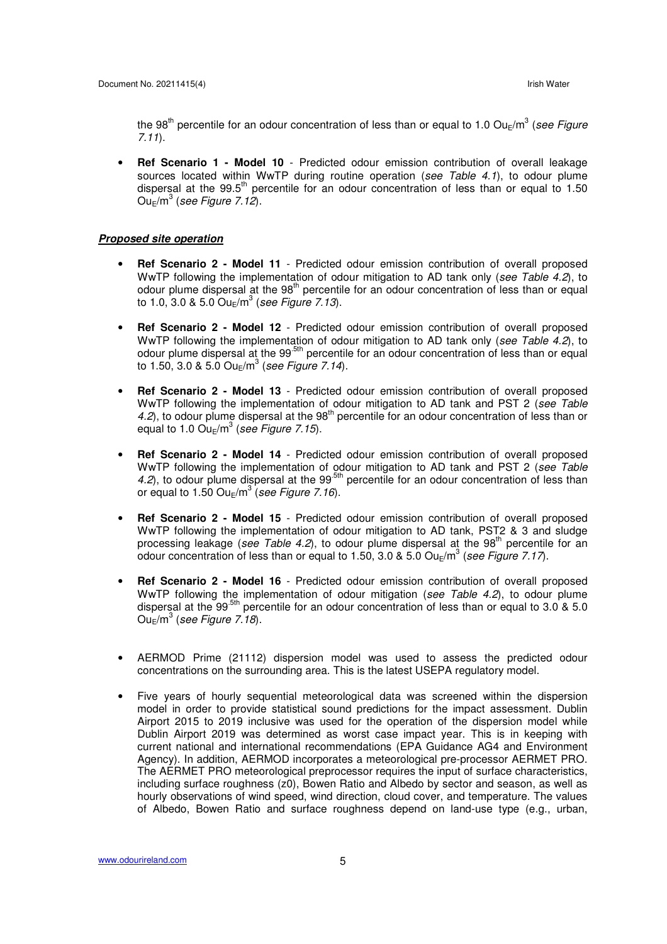the 98<sup>th</sup> percentile for an odour concentration of less than or equal to 1.0 Ou<sub>E</sub>/m<sup>3</sup> (*see Figure* 7.11).

• **Ref Scenario 1 - Model 10** - Predicted odour emission contribution of overall leakage sources located within WwTP during routine operation (see Table 4.1), to odour plume dispersal at the 99.5<sup>th</sup> percentile for an odour concentration of less than or equal to 1.50  $\mathsf{Ou}_{\mathsf{E}}/\mathsf{m}^3$  (see Figure 7.12).

#### **Proposed site operation**

- **Ref Scenario 2 Model 11** Predicted odour emission contribution of overall proposed WwTP following the implementation of odour mitigation to AD tank only (see Table 4.2), to odour plume dispersal at the 98<sup>th</sup> percentile for an odour concentration of less than or equal to 1.0, 3.0 & 5.0 Ou $_{\rm E}/{\rm m}^3$  (see Figure 7.13).
- **Ref Scenario 2 Model 12** Predicted odour emission contribution of overall proposed WwTP following the implementation of odour mitigation to AD tank only (see Table 4.2), to odour plume dispersal at the 99<sup>-5th</sup> percentile for an odour concentration of less than or equal odour concentration of less than or equal to 1.50, 3.0 & 5.0 Ou $_{\rm E}/{\rm m}^3$  (*see Figure 7.14*).
- **Ref Scenario 2 Model 13** Predicted odour emission contribution of overall proposed WwTP following the implementation of odour mitigation to AD tank and PST 2 (see Table 4.2), to odour plume dispersal at the  $98<sup>th</sup>$  percentile for an odour concentration of less than or equal to 1.0 Ou $_{\rm E}/{\rm m}^3$  (see Figure 7.15).
- **Ref Scenario 2 Model 14** Predicted odour emission contribution of overall proposed WwTP following the implementation of odour mitigation to AD tank and PST 2 (see Table 4.2), to odour plume dispersal at the  $99<sup>5th</sup>$  percentile for an odour concentration of less than or equal to 1.50  $\mathsf{Ou}_{\mathsf{E}}/\mathsf{m}^3$  (see Figure 7.16).
- **Ref Scenario 2 Model 15** Predicted odour emission contribution of overall proposed WwTP following the implementation of odour mitigation to AD tank, PST2 & 3 and sludge processing leakage (see Table 4.2), to odour plume dispersal at the  $98<sup>th</sup>$  percentile for an odour concentration of less than or equal to 1.50, 3.0 & 5.0 Ou<sub>E</sub>/m<sup>3</sup> (see Figure 7.17).
- **Ref Scenario 2 Model 16** Predicted odour emission contribution of overall proposed WwTP following the implementation of odour mitigation (see Table 4.2), to odour plume dispersal at the 99 $^{5th}$  percentile for an odour concentration of less than or equal to 3.0 & 5.0  $\mathsf{Ou}_{\mathsf{E}}/\mathsf{m}^3$  (see Figure 7.18).
- AERMOD Prime (21112) dispersion model was used to assess the predicted odour concentrations on the surrounding area. This is the latest USEPA regulatory model.
- Five years of hourly sequential meteorological data was screened within the dispersion model in order to provide statistical sound predictions for the impact assessment. Dublin Airport 2015 to 2019 inclusive was used for the operation of the dispersion model while Dublin Airport 2019 was determined as worst case impact year. This is in keeping with current national and international recommendations (EPA Guidance AG4 and Environment Agency). In addition, AERMOD incorporates a meteorological pre-processor AERMET PRO. The AERMET PRO meteorological preprocessor requires the input of surface characteristics, including surface roughness (z0), Bowen Ratio and Albedo by sector and season, as well as hourly observations of wind speed, wind direction, cloud cover, and temperature. The values of Albedo, Bowen Ratio and surface roughness depend on land-use type (e.g., urban,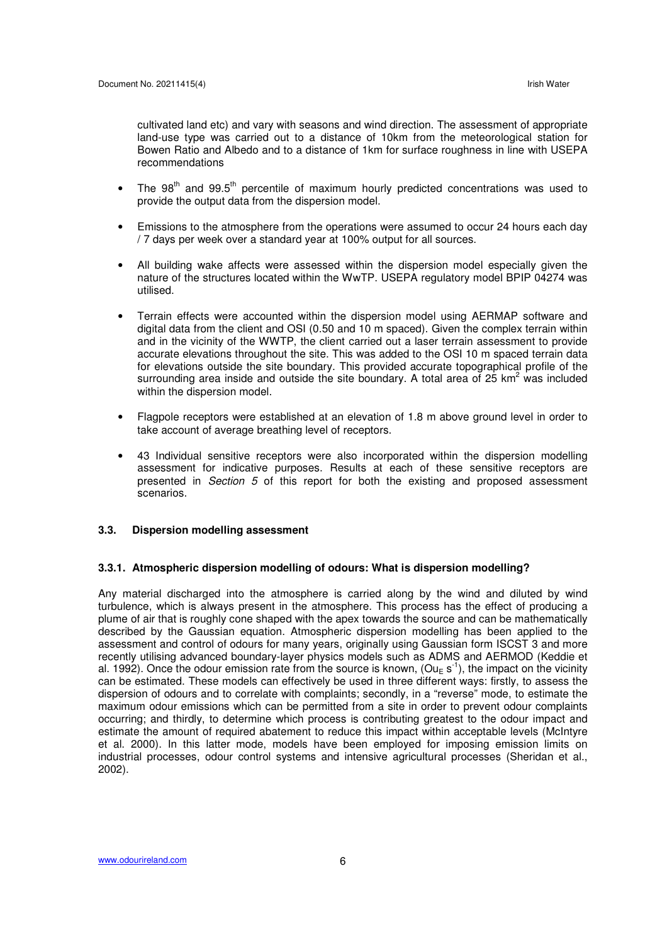cultivated land etc) and vary with seasons and wind direction. The assessment of appropriate land-use type was carried out to a distance of 10km from the meteorological station for Bowen Ratio and Albedo and to a distance of 1km for surface roughness in line with USEPA recommendations

- The  $98<sup>th</sup>$  and  $99.5<sup>th</sup>$  percentile of maximum hourly predicted concentrations was used to provide the output data from the dispersion model.
- Emissions to the atmosphere from the operations were assumed to occur 24 hours each day / 7 days per week over a standard year at 100% output for all sources.
- All building wake affects were assessed within the dispersion model especially given the nature of the structures located within the WwTP. USEPA regulatory model BPIP 04274 was utilised.
- Terrain effects were accounted within the dispersion model using AERMAP software and digital data from the client and OSI (0.50 and 10 m spaced). Given the complex terrain within and in the vicinity of the WWTP, the client carried out a laser terrain assessment to provide accurate elevations throughout the site. This was added to the OSI 10 m spaced terrain data for elevations outside the site boundary. This provided accurate topographical profile of the surrounding area inside and outside the site boundary. A total area of 25 km<sup>2</sup> was included within the dispersion model.
- Flagpole receptors were established at an elevation of 1.8 m above ground level in order to take account of average breathing level of receptors.
- 43 Individual sensitive receptors were also incorporated within the dispersion modelling assessment for indicative purposes. Results at each of these sensitive receptors are presented in Section 5 of this report for both the existing and proposed assessment scenarios.

#### **3.3. Dispersion modelling assessment**

#### **3.3.1. Atmospheric dispersion modelling of odours: What is dispersion modelling?**

Any material discharged into the atmosphere is carried along by the wind and diluted by wind turbulence, which is always present in the atmosphere. This process has the effect of producing a plume of air that is roughly cone shaped with the apex towards the source and can be mathematically described by the Gaussian equation. Atmospheric dispersion modelling has been applied to the assessment and control of odours for many years, originally using Gaussian form ISCST 3 and more recently utilising advanced boundary-layer physics models such as ADMS and AERMOD (Keddie et al. 1992). Once the odour emission rate from the source is known, (Ou<sub>E</sub> s<sup>-1</sup>), the impact on the vicinity can be estimated. These models can effectively be used in three different ways: firstly, to assess the dispersion of odours and to correlate with complaints; secondly, in a "reverse" mode, to estimate the maximum odour emissions which can be permitted from a site in order to prevent odour complaints occurring; and thirdly, to determine which process is contributing greatest to the odour impact and estimate the amount of required abatement to reduce this impact within acceptable levels (McIntyre et al. 2000). In this latter mode, models have been employed for imposing emission limits on industrial processes, odour control systems and intensive agricultural processes (Sheridan et al., 2002).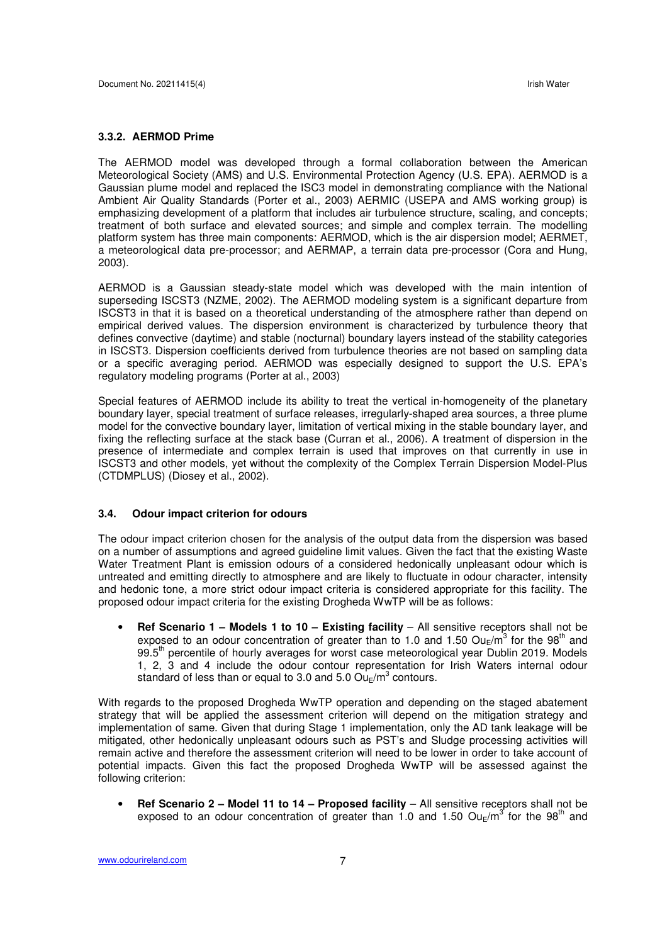#### **3.3.2. AERMOD Prime**

The AERMOD model was developed through a formal collaboration between the American Meteorological Society (AMS) and U.S. Environmental Protection Agency (U.S. EPA). AERMOD is a Gaussian plume model and replaced the ISC3 model in demonstrating compliance with the National Ambient Air Quality Standards (Porter et al., 2003) AERMIC (USEPA and AMS working group) is emphasizing development of a platform that includes air turbulence structure, scaling, and concepts; treatment of both surface and elevated sources; and simple and complex terrain. The modelling platform system has three main components: AERMOD, which is the air dispersion model; AERMET, a meteorological data pre-processor; and AERMAP, a terrain data pre-processor (Cora and Hung, 2003).

AERMOD is a Gaussian steady-state model which was developed with the main intention of superseding ISCST3 (NZME, 2002). The AERMOD modeling system is a significant departure from ISCST3 in that it is based on a theoretical understanding of the atmosphere rather than depend on empirical derived values. The dispersion environment is characterized by turbulence theory that defines convective (daytime) and stable (nocturnal) boundary layers instead of the stability categories in ISCST3. Dispersion coefficients derived from turbulence theories are not based on sampling data or a specific averaging period. AERMOD was especially designed to support the U.S. EPA's regulatory modeling programs (Porter at al., 2003)

Special features of AERMOD include its ability to treat the vertical in-homogeneity of the planetary boundary layer, special treatment of surface releases, irregularly-shaped area sources, a three plume model for the convective boundary layer, limitation of vertical mixing in the stable boundary layer, and fixing the reflecting surface at the stack base (Curran et al., 2006). A treatment of dispersion in the presence of intermediate and complex terrain is used that improves on that currently in use in ISCST3 and other models, yet without the complexity of the Complex Terrain Dispersion Model-Plus (CTDMPLUS) (Diosey et al., 2002).

#### **3.4. Odour impact criterion for odours**

The odour impact criterion chosen for the analysis of the output data from the dispersion was based on a number of assumptions and agreed guideline limit values. Given the fact that the existing Waste Water Treatment Plant is emission odours of a considered hedonically unpleasant odour which is untreated and emitting directly to atmosphere and are likely to fluctuate in odour character, intensity and hedonic tone, a more strict odour impact criteria is considered appropriate for this facility. The proposed odour impact criteria for the existing Drogheda WwTP will be as follows:

• **Ref Scenario 1 – Models 1 to 10 – Existing facility** – All sensitive receptors shall not be exposed to an odour concentration of greater than to 1.0 and 1.50  $O$ u<sub>E</sub>/m<sup>3</sup> for the 98<sup>th</sup> and 99.5<sup>th</sup> percentile of hourly averages for worst case meteorological year Dublin 2019. Models 1, 2, 3 and 4 include the odour contour representation for Irish Waters internal odour standard of less than or equal to 3.0 and 5.0  $\textsf{Ou}_{\textsf{E}}\textsf{/m}^3$  contours.

With regards to the proposed Drogheda WwTP operation and depending on the staged abatement strategy that will be applied the assessment criterion will depend on the mitigation strategy and implementation of same. Given that during Stage 1 implementation, only the AD tank leakage will be mitigated, other hedonically unpleasant odours such as PST's and Sludge processing activities will remain active and therefore the assessment criterion will need to be lower in order to take account of potential impacts. Given this fact the proposed Drogheda WwTP will be assessed against the following criterion:

• **Ref Scenario 2 – Model 11 to 14 – Proposed facility** – All sensitive receptors shall not be exposed to an odour concentration of greater than 1.0 and 1.50  $Ou_E/m^3$  for the 98<sup>th</sup> and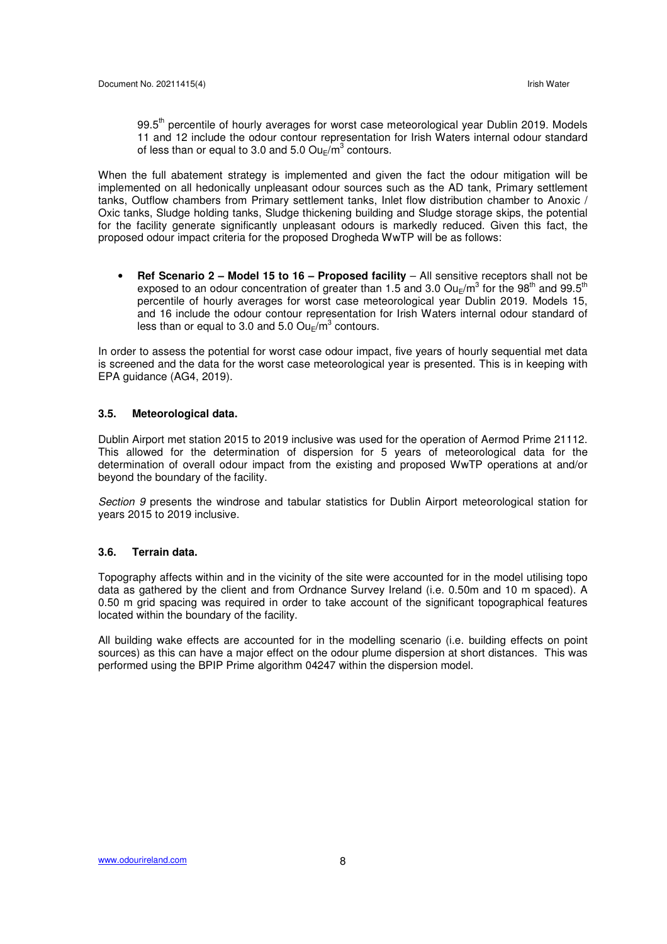99.5<sup>th</sup> percentile of hourly averages for worst case meteorological year Dublin 2019. Models 11 and 12 include the odour contour representation for Irish Waters internal odour standard of less than or equal to 3.0 and 5.0  $\textsf{Ou}_{\textsf{E}}/\textsf{m}^3$  contours.

When the full abatement strategy is implemented and given the fact the odour mitigation will be implemented on all hedonically unpleasant odour sources such as the AD tank, Primary settlement tanks, Outflow chambers from Primary settlement tanks, Inlet flow distribution chamber to Anoxic / Oxic tanks, Sludge holding tanks, Sludge thickening building and Sludge storage skips, the potential for the facility generate significantly unpleasant odours is markedly reduced. Given this fact, the proposed odour impact criteria for the proposed Drogheda WwTP will be as follows:

• **Ref Scenario 2 – Model 15 to 16 – Proposed facility** – All sensitive receptors shall not be exposed to an odour concentration of greater than 1.5 and 3.0 Ou<sub>E</sub>/m<sup>3</sup> for the 98<sup>th</sup> and 99.5<sup>th</sup> percentile of hourly averages for worst case meteorological year Dublin 2019. Models 15, and 16 include the odour contour representation for Irish Waters internal odour standard of less than or equal to 3.0 and 5.0  $\textsf{Ou}_{\textsf{E}}/\textsf{m}^3$  contours.

In order to assess the potential for worst case odour impact, five years of hourly sequential met data is screened and the data for the worst case meteorological year is presented. This is in keeping with EPA guidance (AG4, 2019).

### **3.5. Meteorological data.**

Dublin Airport met station 2015 to 2019 inclusive was used for the operation of Aermod Prime 21112. This allowed for the determination of dispersion for 5 years of meteorological data for the determination of overall odour impact from the existing and proposed WwTP operations at and/or beyond the boundary of the facility.

Section 9 presents the windrose and tabular statistics for Dublin Airport meteorological station for years 2015 to 2019 inclusive.

#### **3.6. Terrain data.**

Topography affects within and in the vicinity of the site were accounted for in the model utilising topo data as gathered by the client and from Ordnance Survey Ireland (i.e. 0.50m and 10 m spaced). A 0.50 m grid spacing was required in order to take account of the significant topographical features located within the boundary of the facility.

All building wake effects are accounted for in the modelling scenario (i.e. building effects on point sources) as this can have a major effect on the odour plume dispersion at short distances. This was performed using the BPIP Prime algorithm 04247 within the dispersion model.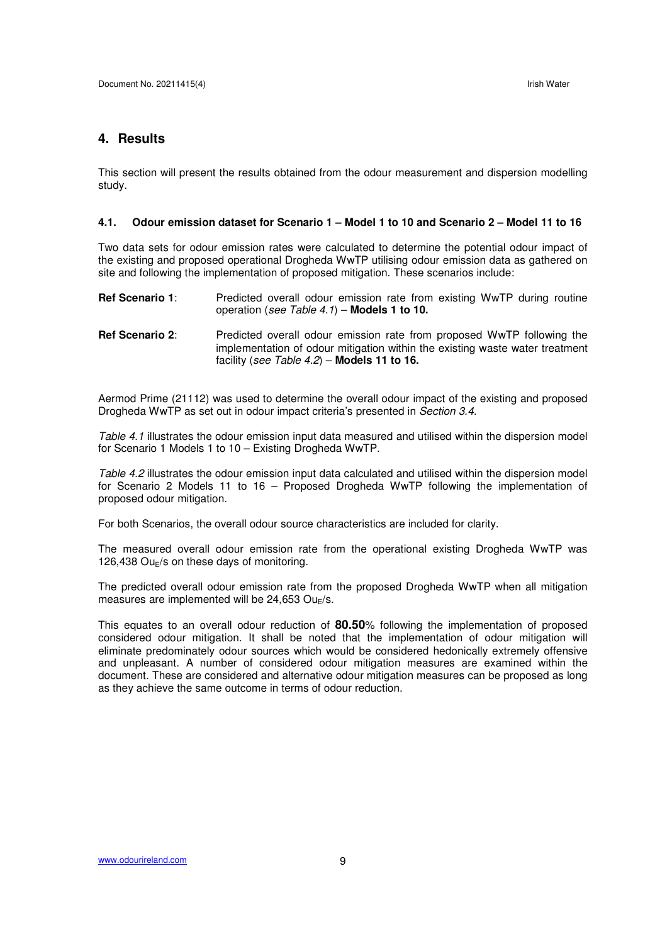# **4. Results**

This section will present the results obtained from the odour measurement and dispersion modelling study.

#### **4.1. Odour emission dataset for Scenario 1 – Model 1 to 10 and Scenario 2 – Model 11 to 16**

Two data sets for odour emission rates were calculated to determine the potential odour impact of the existing and proposed operational Drogheda WwTP utilising odour emission data as gathered on site and following the implementation of proposed mitigation. These scenarios include:

- **Ref Scenario 1**: Predicted overall odour emission rate from existing WwTP during routine operation (see Table 4.1) – **Models 1 to 10.**
- **Ref Scenario 2**: Predicted overall odour emission rate from proposed WwTP following the implementation of odour mitigation within the existing waste water treatment facility (see Table 4.2) – **Models 11 to 16.**

Aermod Prime (21112) was used to determine the overall odour impact of the existing and proposed Drogheda WwTP as set out in odour impact criteria's presented in Section 3.4.

Table 4.1 illustrates the odour emission input data measured and utilised within the dispersion model for Scenario 1 Models 1 to 10 – Existing Drogheda WwTP.

Table 4.2 illustrates the odour emission input data calculated and utilised within the dispersion model for Scenario 2 Models 11 to 16 – Proposed Drogheda WwTP following the implementation of proposed odour mitigation.

For both Scenarios, the overall odour source characteristics are included for clarity.

The measured overall odour emission rate from the operational existing Drogheda WwTP was 126,438  $Ou_F$ /s on these days of monitoring.

The predicted overall odour emission rate from the proposed Drogheda WwTP when all mitigation measures are implemented will be  $24.653$  Ou $_F/s$ .

This equates to an overall odour reduction of **80.50**% following the implementation of proposed considered odour mitigation. It shall be noted that the implementation of odour mitigation will eliminate predominately odour sources which would be considered hedonically extremely offensive and unpleasant. A number of considered odour mitigation measures are examined within the document. These are considered and alternative odour mitigation measures can be proposed as long as they achieve the same outcome in terms of odour reduction.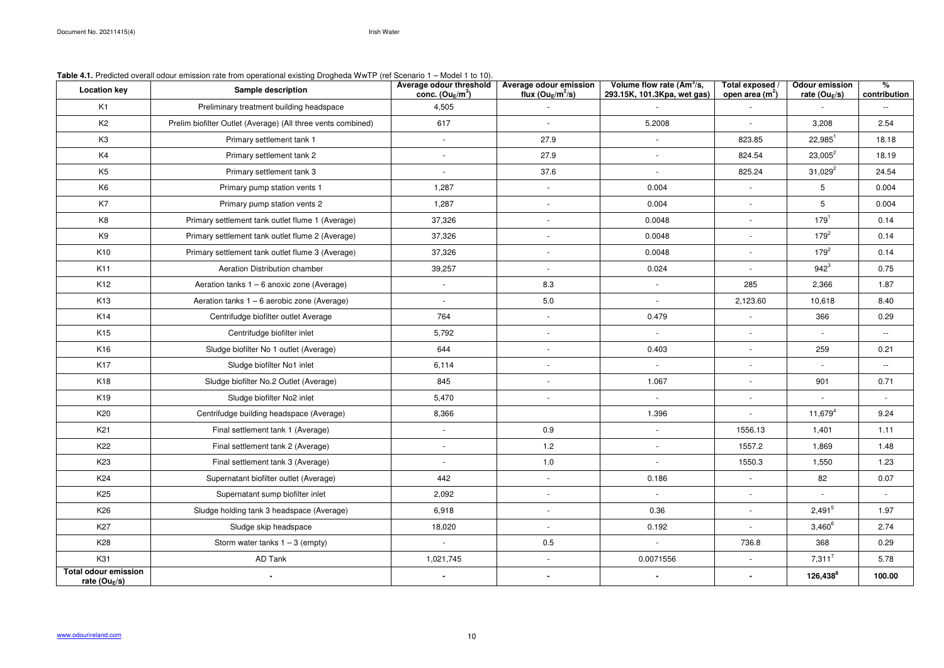| <b>Location key</b>                              | $\frac{1}{2}$<br><b>Sample description</b>                   | Average odour threshold<br>conc. $(Ou_E/m^3)$ | Average odour emission<br>flux ( $Ou_E/m^2/s$ ) | Volume flow rate $(Am^3/s,$<br>293.15K, 101.3Kpa, wet gas) | Total exposed<br>open area (m <sup>2</sup> ) | <b>Odour emission</b><br>rate (Ou $_E$ /s) | $\%$<br>contribution |
|--------------------------------------------------|--------------------------------------------------------------|-----------------------------------------------|-------------------------------------------------|------------------------------------------------------------|----------------------------------------------|--------------------------------------------|----------------------|
| K <sub>1</sub>                                   | Preliminary treatment building headspace                     | 4,505                                         |                                                 |                                                            |                                              |                                            | $\sim$ $\sim$        |
| K <sub>2</sub>                                   | Prelim biofilter Outlet (Average) (All three vents combined) | 617                                           | $-$                                             | 5.2008                                                     | $\overline{\phantom{a}}$                     | 3,208                                      | 2.54                 |
| K <sub>3</sub>                                   | Primary settlement tank 1                                    |                                               | 27.9                                            | $\overline{\phantom{a}}$                                   | 823.85                                       | $22,985^1$                                 | 18.18                |
| K4                                               | Primary settlement tank 2                                    |                                               | 27.9                                            | $\overline{\phantom{a}}$                                   | 824.54                                       | $23,005^2$                                 | 18.19                |
| K <sub>5</sub>                                   | Primary settlement tank 3                                    |                                               | 37.6                                            | $\overline{\phantom{a}}$                                   | 825.24                                       | $31,029^2$                                 | 24.54                |
| K <sub>6</sub>                                   | Primary pump station vents 1                                 | 1,287                                         | $\overline{\phantom{a}}$                        | 0.004                                                      |                                              | 5                                          | 0.004                |
| K7                                               | Primary pump station vents 2                                 | 1,287                                         | $\overline{\phantom{a}}$                        | 0.004                                                      | $\overline{\phantom{a}}$                     | 5                                          | 0.004                |
| K <sub>8</sub>                                   | Primary settlement tank outlet flume 1 (Average)             | 37,326                                        | $\overline{\phantom{a}}$                        | 0.0048                                                     | $\overline{\phantom{a}}$                     | $179^{1}$                                  | 0.14                 |
| K9                                               | Primary settlement tank outlet flume 2 (Average)             | 37,326                                        | $\overline{\phantom{a}}$                        | 0.0048                                                     |                                              | $179^{2}$                                  | 0.14                 |
| K10                                              | Primary settlement tank outlet flume 3 (Average)             | 37,326                                        | $\overline{\phantom{a}}$                        | 0.0048                                                     | $\overline{\phantom{a}}$                     | $179^{2}$                                  | 0.14                 |
| K11                                              | Aeration Distribution chamber                                | 39,257                                        |                                                 | 0.024                                                      |                                              | $942^{3}$                                  | 0.75                 |
| K <sub>12</sub>                                  | Aeration tanks $1 - 6$ anoxic zone (Average)                 | $\sim$                                        | 8.3                                             | $\overline{\phantom{a}}$                                   | 285                                          | 2,366                                      | 1.87                 |
| K13                                              | Aeration tanks 1 - 6 aerobic zone (Average)                  |                                               | 5.0                                             | $\overline{\phantom{a}}$                                   | 2,123.60                                     | 10,618                                     | 8.40                 |
| K14                                              | Centrifudge biofilter outlet Average                         | 764                                           | $\overline{\phantom{a}}$                        | 0.479                                                      |                                              | 366                                        | 0.29                 |
| K <sub>15</sub>                                  | Centrifudge biofilter inlet                                  | 5,792                                         | $\blacksquare$                                  | $\blacksquare$                                             |                                              |                                            | $\sim$ $\sim$        |
| K <sub>16</sub>                                  | Sludge biofilter No 1 outlet (Average)                       | 644                                           | $\overline{\phantom{a}}$                        | 0.403                                                      |                                              | 259                                        | 0.21                 |
| K17                                              | Sludge biofilter No1 inlet                                   | 6,114                                         | $\overline{\phantom{a}}$                        | $\overline{\phantom{a}}$                                   |                                              |                                            | $\sim$               |
| K18                                              | Sludge biofilter No.2 Outlet (Average)                       | 845                                           | $\overline{\phantom{a}}$                        | 1.067                                                      | $\overline{\phantom{a}}$                     | 901                                        | 0.71                 |
| K19                                              | Sludge biofilter No2 inlet                                   | 5,470                                         | $\overline{\phantom{a}}$                        | $\overline{\phantom{a}}$                                   |                                              |                                            |                      |
| K20                                              | Centrifudge building headspace (Average)                     | 8,366                                         |                                                 | 1.396                                                      |                                              | $11,679^{4}$                               | 9.24                 |
| K <sub>21</sub>                                  | Final settlement tank 1 (Average)                            |                                               | 0.9                                             | $\overline{\phantom{a}}$                                   | 1556.13                                      | 1,401                                      | 1.11                 |
| K22                                              | Final settlement tank 2 (Average)                            |                                               | 1.2                                             | $\overline{\phantom{a}}$                                   | 1557.2                                       | 1,869                                      | 1.48                 |
| K <sub>23</sub>                                  | Final settlement tank 3 (Average)                            |                                               | 1.0                                             | $\overline{\phantom{a}}$                                   | 1550.3                                       | 1,550                                      | 1.23                 |
| K24                                              | Supernatant biofilter outlet (Average)                       | 442                                           | $\overline{\phantom{a}}$                        | 0.186                                                      | $\overline{\phantom{a}}$                     | 82                                         | 0.07                 |
| K <sub>25</sub>                                  | Supernatant sump biofilter inlet                             | 2,092                                         | $\overline{\phantom{a}}$                        | $\sim$                                                     | $\overline{\phantom{a}}$                     | $\sim$                                     | $\sim$               |
| K <sub>26</sub>                                  | Sludge holding tank 3 headspace (Average)                    | 6,918                                         | $\overline{\phantom{a}}$                        | 0.36                                                       | $\overline{a}$                               | $2,491^{5}$                                | 1.97                 |
| K <sub>27</sub>                                  | Sludge skip headspace                                        | 18,020                                        | $\overline{\phantom{a}}$                        | 0.192                                                      |                                              | $3,460^6$                                  | 2.74                 |
| K28                                              | Storm water tanks $1 - 3$ (empty)                            |                                               | 0.5                                             | $\overline{\phantom{a}}$                                   | 736.8                                        | 368                                        | 0.29                 |
| K31                                              | AD Tank                                                      | 1,021,745                                     | $\overline{\phantom{a}}$                        | 0.0071556                                                  |                                              | $7,311^7$                                  | 5.78                 |
| <b>Total odour emission</b><br>rate ( $Ou_E/s$ ) |                                                              | $\sim$                                        | $\blacksquare$                                  | $\blacksquare$                                             | $\sim$                                       | $126,438^8$                                | 100.00               |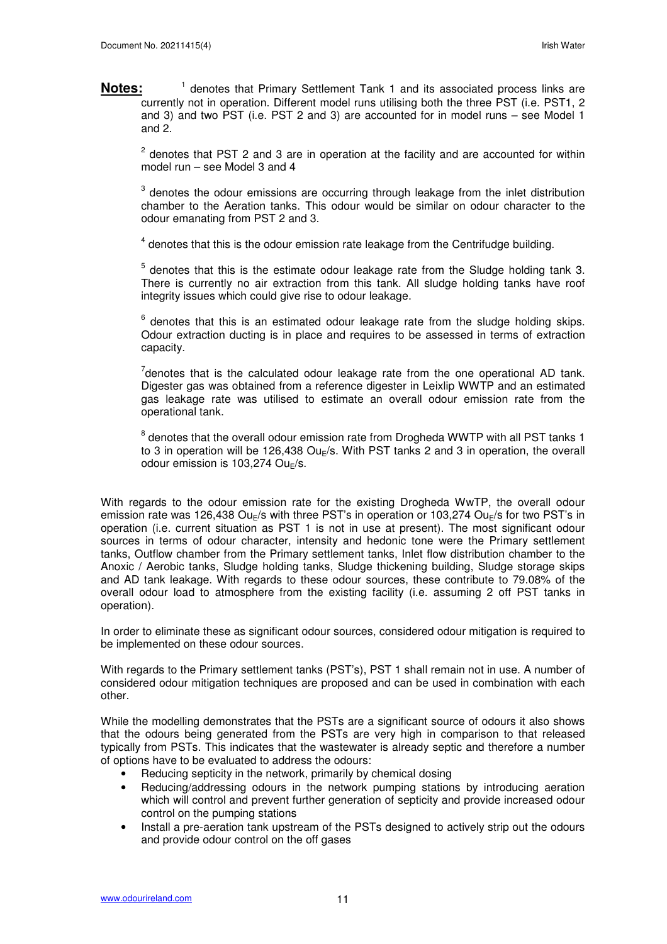Notes: <sup>1</sup> denotes that Primary Settlement Tank 1 and its associated process links are currently not in operation. Different model runs utilising both the three PST (i.e. PST1, 2 and 3) and two PST (i.e. PST 2 and 3) are accounted for in model runs – see Model 1 and 2.

 $2$  denotes that PST 2 and 3 are in operation at the facility and are accounted for within model run – see Model 3 and 4

 $3$  denotes the odour emissions are occurring through leakage from the inlet distribution chamber to the Aeration tanks. This odour would be similar on odour character to the odour emanating from PST 2 and 3.

 $4$  denotes that this is the odour emission rate leakage from the Centrifudge building.

 $5$  denotes that this is the estimate odour leakage rate from the Sludge holding tank 3. There is currently no air extraction from this tank. All sludge holding tanks have roof integrity issues which could give rise to odour leakage.

 $6$  denotes that this is an estimated odour leakage rate from the sludge holding skips. Odour extraction ducting is in place and requires to be assessed in terms of extraction capacity.

 $7$ denotes that is the calculated odour leakage rate from the one operational AD tank. Digester gas was obtained from a reference digester in Leixlip WWTP and an estimated gas leakage rate was utilised to estimate an overall odour emission rate from the operational tank.

 $^8$  denotes that the overall odour emission rate from Drogheda WWTP with all PST tanks 1 to 3 in operation will be 126,438  $Ou_F$ /s. With PST tanks 2 and 3 in operation, the overall odour emission is 103,274 Ou $_F$ /s.

With regards to the odour emission rate for the existing Drogheda WwTP, the overall odour emission rate was 126,438 Ou<sub>F</sub>/s with three PST's in operation or 103,274 Ou<sub>F</sub>/s for two PST's in operation (i.e. current situation as PST 1 is not in use at present). The most significant odour sources in terms of odour character, intensity and hedonic tone were the Primary settlement tanks, Outflow chamber from the Primary settlement tanks, Inlet flow distribution chamber to the Anoxic / Aerobic tanks, Sludge holding tanks, Sludge thickening building, Sludge storage skips and AD tank leakage. With regards to these odour sources, these contribute to 79.08% of the overall odour load to atmosphere from the existing facility (i.e. assuming 2 off PST tanks in operation).

In order to eliminate these as significant odour sources, considered odour mitigation is required to be implemented on these odour sources.

With regards to the Primary settlement tanks (PST's), PST 1 shall remain not in use. A number of considered odour mitigation techniques are proposed and can be used in combination with each other.

While the modelling demonstrates that the PSTs are a significant source of odours it also shows that the odours being generated from the PSTs are very high in comparison to that released typically from PSTs. This indicates that the wastewater is already septic and therefore a number of options have to be evaluated to address the odours:

- Reducing septicity in the network, primarily by chemical dosing
- Reducing/addressing odours in the network pumping stations by introducing aeration which will control and prevent further generation of septicity and provide increased odour control on the pumping stations
- Install a pre-aeration tank upstream of the PSTs designed to actively strip out the odours and provide odour control on the off gases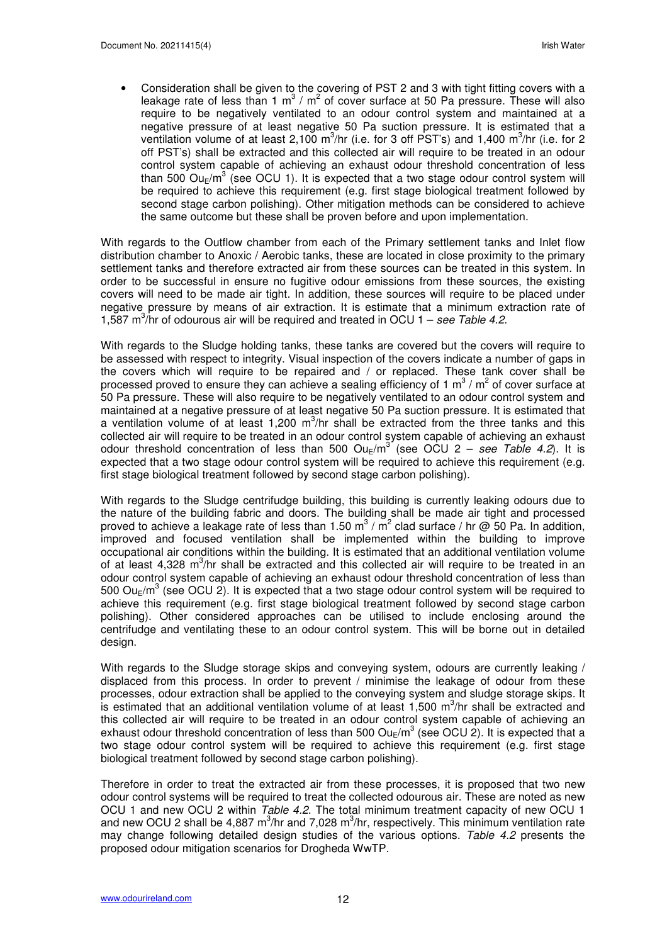• Consideration shall be given to the covering of PST 2 and 3 with tight fitting covers with a leakage rate of less than 1 m<sup>3</sup> / m<sup>2</sup> of cover surface at 50 Pa pressure. These will also require to be negatively ventilated to an odour control system and maintained at a negative pressure of at least negative 50 Pa suction pressure. It is estimated that a ventilation volume of at least 2,100 m<sup>3</sup>/hr (i.e. for 3 off PST's) and 1,400 m<sup>3</sup>/hr (i.e. for 2 off PST's) shall be extracted and this collected air will require to be treated in an odour control system capable of achieving an exhaust odour threshold concentration of less than 500  $Ou_{E}/m^{3}$  (see OCU 1). It is expected that a two stage odour control system will be required to achieve this requirement (e.g. first stage biological treatment followed by second stage carbon polishing). Other mitigation methods can be considered to achieve the same outcome but these shall be proven before and upon implementation.

With regards to the Outflow chamber from each of the Primary settlement tanks and Inlet flow distribution chamber to Anoxic / Aerobic tanks, these are located in close proximity to the primary settlement tanks and therefore extracted air from these sources can be treated in this system. In order to be successful in ensure no fugitive odour emissions from these sources, the existing covers will need to be made air tight. In addition, these sources will require to be placed under negative pressure by means of air extraction. It is estimate that a minimum extraction rate of 1,587  $\text{m}^3$ /hr of odourous air will be required and treated in OCU 1 – see Table 4.2.

With regards to the Sludge holding tanks, these tanks are covered but the covers will require to be assessed with respect to integrity. Visual inspection of the covers indicate a number of gaps in the covers which will require to be repaired and / or replaced. These tank cover shall be processed proved to ensure they can achieve a sealing efficiency of 1 m<sup>3</sup> / m<sup>2</sup> of cover surface at 50 Pa pressure. These will also require to be negatively ventilated to an odour control system and maintained at a negative pressure of at least negative 50 Pa suction pressure. It is estimated that a ventilation volume of at least 1,200  $m^3/nr$  shall be extracted from the three tanks and this collected air will require to be treated in an odour control system capable of achieving an exhaust odour threshold concentration of less than 500  $O u_E/m^3$  (see OCU 2 – see Table 4.2). It is expected that a two stage odour control system will be required to achieve this requirement (e.g. first stage biological treatment followed by second stage carbon polishing).

With regards to the Sludge centrifudge building, this building is currently leaking odours due to the nature of the building fabric and doors. The building shall be made air tight and processed proved to achieve a leakage rate of less than 1.50 m<sup>3</sup> / m<sup>2</sup> clad surface / hr @ 50 Pa. In addition, improved and focused ventilation shall be implemented within the building to improve occupational air conditions within the building. It is estimated that an additional ventilation volume of at least 4,328 m<sup>3</sup>/hr shall be extracted and this collected air will require to be treated in an odour control system capable of achieving an exhaust odour threshold concentration of less than 500 Ou<sub>E</sub>/m<sup>3</sup> (see OCU 2). It is expected that a two stage odour control system will be required to achieve this requirement (e.g. first stage biological treatment followed by second stage carbon polishing). Other considered approaches can be utilised to include enclosing around the centrifudge and ventilating these to an odour control system. This will be borne out in detailed design.

With regards to the Sludge storage skips and conveying system, odours are currently leaking / displaced from this process. In order to prevent / minimise the leakage of odour from these processes, odour extraction shall be applied to the conveying system and sludge storage skips. It is estimated that an additional ventilation volume of at least 1,500  $m^3/nr$  shall be extracted and this collected air will require to be treated in an odour control system capable of achieving an exhaust odour threshold concentration of less than 500 Ou<sub>E</sub>/m<sup>3</sup> (see OCU 2). It is expected that a two stage odour control system will be required to achieve this requirement (e.g. first stage biological treatment followed by second stage carbon polishing).

Therefore in order to treat the extracted air from these processes, it is proposed that two new odour control systems will be required to treat the collected odourous air. These are noted as new OCU 1 and new OCU 2 within Table 4.2. The total minimum treatment capacity of new OCU 1 and new OCU 2 shall be 4,887 m<sup>3</sup>/hr and 7,028 m<sup>3</sup>/hr, respectively. This minimum ventilation rate may change following detailed design studies of the various options. Table 4.2 presents the proposed odour mitigation scenarios for Drogheda WwTP.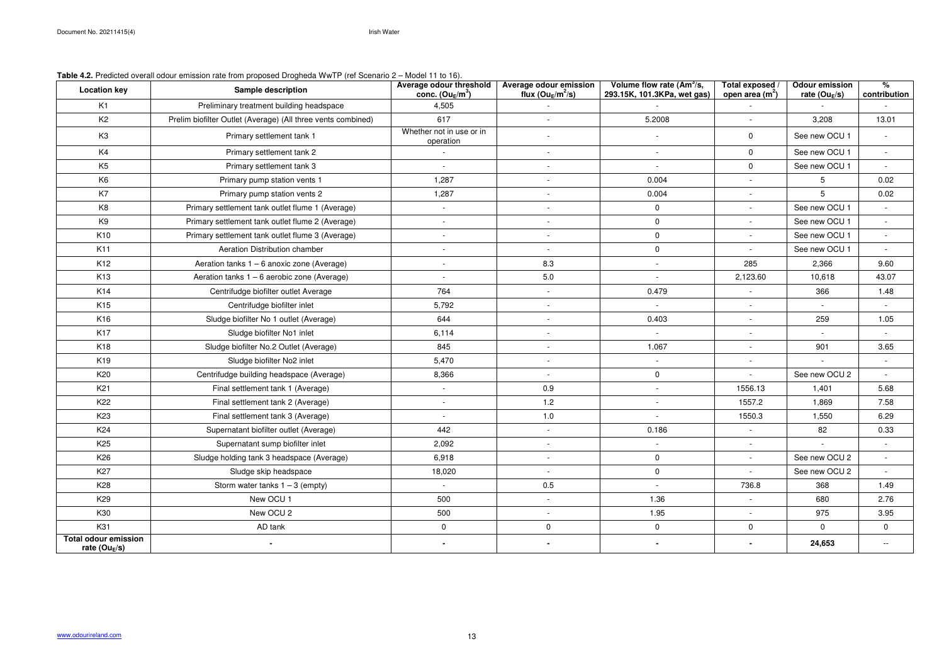# **Table 4.2.** Predicted overall odour emission rate from proposed Drogheda WwTP (ref Scenario 2 – Model 11 to 16).

| <b>Location key</b>                                      | <b>WATER THEIR TOURNOU OVOIDED</b> OUTDOOR THAT AND HOLD MODOCOL DIOGRAPHIER (TOP OCCIDENCE<br><b>Sample description</b> | <b>Average odour threshold</b><br>conc. $(Ou_E/m^3)$ | Average odour emission<br>flux ( $Ou_E/m^2/s$ ) | Volume flow rate $(Am^3/s,$<br>293.15K, 101.3KPa, wet gas) | Total exposed<br>open area $(m2)$ | <b>Odour emission</b><br>rate (Ou $_E$ /s) | %<br>contribution        |
|----------------------------------------------------------|--------------------------------------------------------------------------------------------------------------------------|------------------------------------------------------|-------------------------------------------------|------------------------------------------------------------|-----------------------------------|--------------------------------------------|--------------------------|
| K <sub>1</sub>                                           | Preliminary treatment building headspace                                                                                 | 4,505                                                |                                                 |                                                            |                                   |                                            |                          |
| K <sub>2</sub>                                           | Prelim biofilter Outlet (Average) (All three vents combined)                                                             | 617                                                  | $\overline{\phantom{a}}$                        | 5.2008                                                     | $\sim$                            | 3,208                                      | 13.01                    |
| K <sub>3</sub>                                           | Primary settlement tank 1                                                                                                | Whether not in use or in<br>operation                |                                                 | $\overline{\phantom{a}}$                                   | $\Omega$                          | See new OCU 1                              | $\overline{\phantom{a}}$ |
| K4                                                       | Primary settlement tank 2                                                                                                |                                                      | $\overline{\phantom{a}}$                        | $\blacksquare$                                             | $\mathbf{0}$                      | See new OCU 1                              | $\sim$                   |
| K <sub>5</sub>                                           | Primary settlement tank 3                                                                                                |                                                      | $\overline{\phantom{a}}$                        | $\overline{\phantom{a}}$                                   | $\mathbf{0}$                      | See new OCU 1                              | $\sim$                   |
| K <sub>6</sub>                                           | Primary pump station vents 1                                                                                             | 1,287                                                |                                                 | 0.004                                                      |                                   | 5                                          | 0.02                     |
| K7                                                       | Primary pump station vents 2                                                                                             | 1,287                                                |                                                 | 0.004                                                      |                                   | 5                                          | 0.02                     |
| K <sub>8</sub>                                           | Primary settlement tank outlet flume 1 (Average)                                                                         | $\sim$                                               | $\overline{\phantom{a}}$                        | 0                                                          | $\overline{\phantom{a}}$          | See new OCU 1                              | $\sim$                   |
| K <sub>9</sub>                                           | Primary settlement tank outlet flume 2 (Average)                                                                         | $\overline{\phantom{a}}$                             | $\overline{\phantom{a}}$                        | 0                                                          | $\overline{a}$                    | See new OCU 1                              | $\sim$                   |
| K <sub>10</sub>                                          | Primary settlement tank outlet flume 3 (Average)                                                                         | $\overline{\phantom{a}}$                             | $\overline{\phantom{a}}$                        | 0                                                          |                                   | See new OCU 1                              | $\sim$                   |
| K11                                                      | Aeration Distribution chamber                                                                                            | $\overline{\phantom{a}}$                             | $\overline{\phantom{a}}$                        | 0                                                          |                                   | See new OCU 1                              | $\overline{\phantom{a}}$ |
| K <sub>12</sub>                                          | Aeration tanks $1 - 6$ anoxic zone (Average)                                                                             | $\overline{\phantom{a}}$                             | 8.3                                             | $\blacksquare$                                             | 285                               | 2,366                                      | 9.60                     |
| K <sub>13</sub>                                          | Aeration tanks $1 - 6$ aerobic zone (Average)                                                                            |                                                      | 5.0                                             |                                                            | 2,123.60                          | 10,618                                     | 43.07                    |
| K14                                                      | Centrifudge biofilter outlet Average                                                                                     | 764                                                  | $\overline{\phantom{a}}$                        | 0.479                                                      | $\overline{\phantom{a}}$          | 366                                        | 1.48                     |
| K <sub>15</sub>                                          | Centrifudge biofilter inlet                                                                                              | 5,792                                                | $\overline{\phantom{a}}$                        | $\sim$                                                     | $\overline{\phantom{a}}$          |                                            |                          |
| K16                                                      | Sludge biofilter No 1 outlet (Average)                                                                                   | 644                                                  | $\overline{\phantom{a}}$                        | 0.403                                                      | $\overline{\phantom{a}}$          | 259                                        | 1.05                     |
| K17                                                      | Sludge biofilter No1 inlet                                                                                               | 6,114                                                |                                                 | $\overline{\phantom{a}}$                                   |                                   |                                            |                          |
| K18                                                      | Sludge biofilter No.2 Outlet (Average)                                                                                   | 845                                                  | $\overline{\phantom{a}}$                        | 1.067                                                      |                                   | 901                                        | 3.65                     |
| K <sub>19</sub>                                          | Sludge biofilter No2 inlet                                                                                               | 5,470                                                |                                                 | $\blacksquare$                                             |                                   |                                            |                          |
| K20                                                      | Centrifudge building headspace (Average)                                                                                 | 8,366                                                | $\overline{\phantom{a}}$                        | $\mathbf 0$                                                | $\sim$                            | See new OCU 2                              | $\sim$                   |
| K <sub>21</sub>                                          | Final settlement tank 1 (Average)                                                                                        | $\sim$                                               | 0.9                                             | $\overline{\phantom{a}}$                                   | 1556.13                           | 1,401                                      | 5.68                     |
| K <sub>22</sub>                                          | Final settlement tank 2 (Average)                                                                                        | $\sim$                                               | 1.2                                             | $\overline{\phantom{a}}$                                   | 1557.2                            | 1,869                                      | 7.58                     |
| K <sub>23</sub>                                          | Final settlement tank 3 (Average)                                                                                        | $\overline{\phantom{a}}$                             | 1.0                                             |                                                            | 1550.3                            | 1,550                                      | 6.29                     |
| K24                                                      | Supernatant biofilter outlet (Average)                                                                                   | 442                                                  |                                                 | 0.186                                                      |                                   | 82                                         | 0.33                     |
| K <sub>25</sub>                                          | Supernatant sump biofilter inlet                                                                                         | 2,092                                                |                                                 |                                                            |                                   |                                            |                          |
| K <sub>26</sub>                                          | Sludge holding tank 3 headspace (Average)                                                                                | 6,918                                                |                                                 | $\mathbf 0$                                                | $\sim$                            | See new OCU 2                              | $\sim$                   |
| K <sub>27</sub>                                          | Sludge skip headspace                                                                                                    | 18,020                                               | $\overline{\phantom{a}}$                        | 0                                                          | $\overline{\phantom{a}}$          | See new OCU 2                              | $\overline{\phantom{a}}$ |
| K28                                                      | Storm water tanks $1 - 3$ (empty)                                                                                        | $\overline{\phantom{a}}$                             | 0.5                                             | $\overline{\phantom{a}}$                                   | 736.8                             | 368                                        | 1.49                     |
| K <sub>29</sub>                                          | New OCU 1                                                                                                                | 500                                                  |                                                 | 1.36                                                       |                                   | 680                                        | 2.76                     |
| K30                                                      | New OCU 2                                                                                                                | 500                                                  | $\overline{\phantom{a}}$                        | 1.95                                                       |                                   | 975                                        | 3.95                     |
| K31                                                      | AD tank                                                                                                                  | $\overline{0}$                                       | $\mathbf 0$                                     | 0                                                          | 0                                 | $\Omega$                                   | $\mathbf 0$              |
| <b>Total odour emission</b><br>rate (Ou <sub>E</sub> /s) |                                                                                                                          | $\blacksquare$                                       |                                                 |                                                            |                                   | 24,653                                     | $\sim$                   |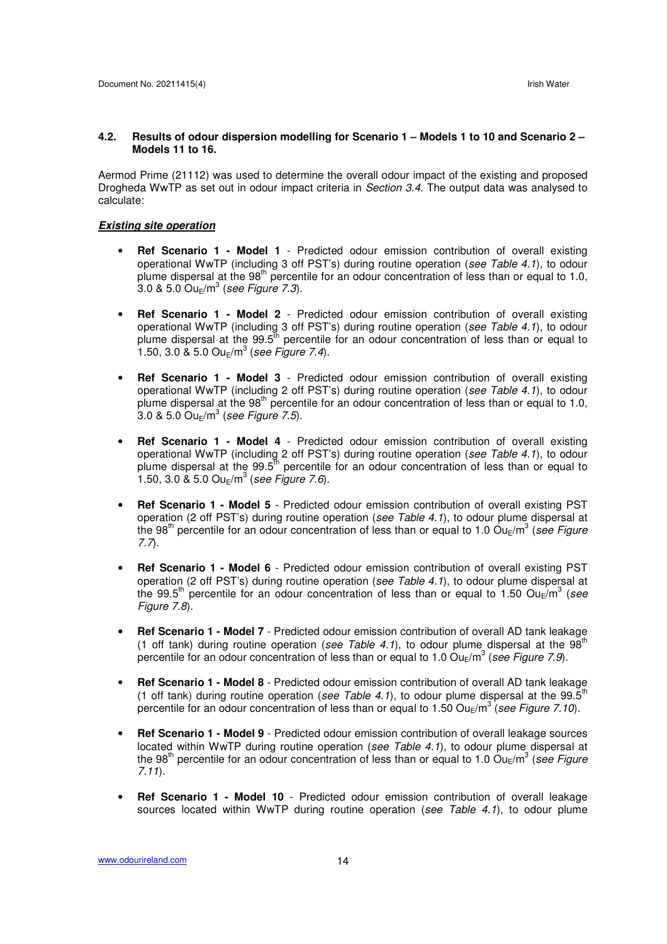#### **4.2. Results of odour dispersion modelling for Scenario 1 – Models 1 to 10 and Scenario 2 – Models 11 to 16.**

Aermod Prime (21112) was used to determine the overall odour impact of the existing and proposed Drogheda WwTP as set out in odour impact criteria in *Section 3.4*. The output data was analysed to calculate:

#### **Existing site operation**

- **Ref Scenario 1 Model 1** Predicted odour emission contribution of overall existing operational WwTP (including 3 off PST's) during routine operation (see Table 4.1), to odour plume dispersal at the  $98<sup>th</sup>$  percentile for an odour concentration of less than or equal to 1.0,  $3.0$  &  $5.0$  Ou $_{\rm E}/{\rm m}^3$  (see Figure 7.3).
- **Ref Scenario 1 Model 2** Predicted odour emission contribution of overall existing operational WwTP (including 3 off PST's) during routine operation (see Table 4.1), to odour plume dispersal at the 99.5<sup>th</sup> percentile for an odour concentration of less than or equal to 1.50, 3.0 & 5.0  $Ou_E/m^3$  (see Figure 7.4).
- **Ref Scenario 1 Model 3** Predicted odour emission contribution of overall existing operational WwTP (including 2 off PST's) during routine operation (see Table 4.1), to odour plume dispersal at the 98<sup>th</sup> percentile for an odour concentration of less than or equal to 1.0,  $3.0 \& 5.0 \text{ Ou}_{\text{E}}/\text{m}^3$  (see Figure 7.5).
- **Ref Scenario 1 Model 4** Predicted odour emission contribution of overall existing operational WwTP (including 2 off PST's) during routine operation (see Table 4.1), to odour plume dispersal at the  $99.5<sup>th</sup>$  percentile for an odour concentration of less than or equal to 1.50, 3.0 & 5.0  $Ou_E/m^3$  (see Figure 7.6).
- **Ref Scenario 1 Model 5** Predicted odour emission contribution of overall existing PST operation (2 off PST's) during routine operation (see Table 4.1), to odour plume dispersal at the 98<sup>th</sup> percentile for an odour concentration of less than or equal to 1.0 Ou<sub>E</sub>/m<sup>3</sup> (see Figure 7.7).
- **Ref Scenario 1 Model 6** Predicted odour emission contribution of overall existing PST operation (2 off PST's) during routine operation (see Table 4.1), to odour plume dispersal at the 99.5<sup>th</sup> percentile for an odour concentration of less than or equal to 1.50 Ou<sub>E</sub>/m<sup>3</sup> (see Figure 7.8).
- **Ref Scenario 1 Model 7** Predicted odour emission contribution of overall AD tank leakage (1 off tank) during routine operation (see Table 4.1), to odour plume dispersal at the  $98<sup>th</sup>$ percentile for an odour concentration of less than or equal to 1.0  $\text{Ou}_\text{E}/\text{m}^3$  (see Figure 7.9).
- **Ref Scenario 1 Model 8** Predicted odour emission contribution of overall AD tank leakage (1 off tank) during routine operation (see Table 4.1), to odour plume dispersal at the 99.5<sup>th</sup> percentile for an odour concentration of less than or equal to 1.50  $Ou_{E}/m^{3}$  (see Figure 7.10).
- **Ref Scenario 1 Model 9** Predicted odour emission contribution of overall leakage sources located within WwTP during routine operation (see Table 4.1), to odour plume dispersal at the 98<sup>th</sup> percentile for an odour concentration of less than or equal to 1.0 Ou<sub>E</sub>/m<sup>3</sup> (see Figure 7.11).
- **Ref Scenario 1 Model 10** Predicted odour emission contribution of overall leakage sources located within WwTP during routine operation (see Table 4.1), to odour plume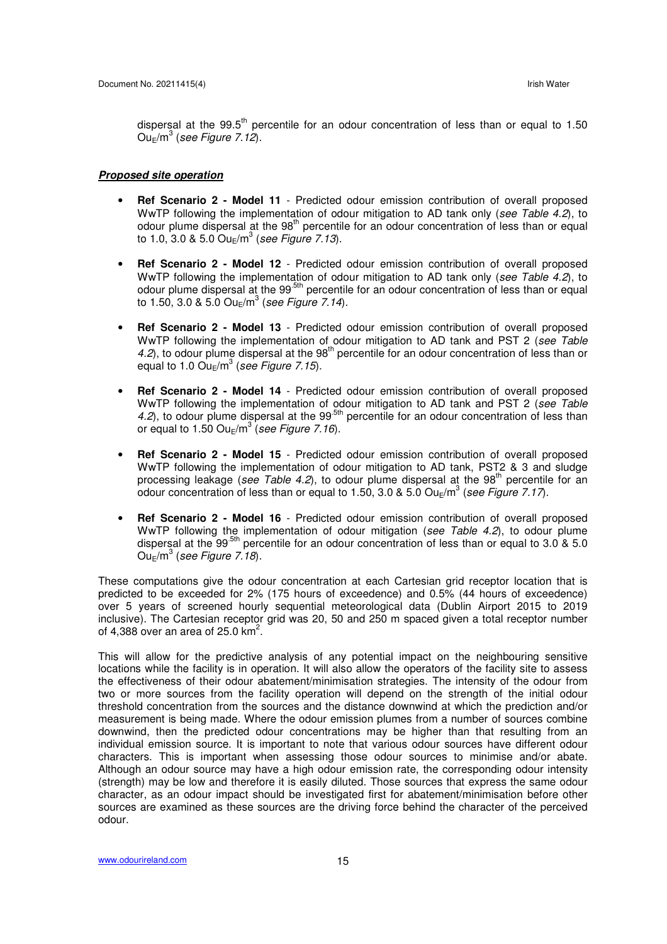dispersal at the  $99.5<sup>th</sup>$  percentile for an odour concentration of less than or equal to 1.50  $\mathsf{Ou}_{\mathsf{E}}/\mathsf{m}^3$  (see Figure 7.12).

#### **Proposed site operation**

- **Ref Scenario 2 Model 11** Predicted odour emission contribution of overall proposed WwTP following the implementation of odour mitigation to AD tank only (see Table 4.2), to odour plume dispersal at the 98<sup>th</sup> percentile for an odour concentration of less than or equal to 1.0, 3.0 & 5.0  $Ou_{E}/m^{3}$  (see Figure 7.13).
- **Ref Scenario 2 Model 12** Predicted odour emission contribution of overall proposed WwTP following the implementation of odour mitigation to AD tank only (see Table 4.2), to odour plume dispersal at the 99<sup>-5th</sup> percentile for an odour concentration of less than or equal to 1.50, 3.0 & 5.0 Ou $_{E}$ /m<sup>3</sup> (see Figure 7.14).
- **Ref Scenario 2 Model 13** Predicted odour emission contribution of overall proposed WwTP following the implementation of odour mitigation to AD tank and PST 2 (see Table 4.2), to odour plume dispersal at the  $98<sup>th</sup>$  percentile for an odour concentration of less than or equal to 1.0  $\textsf{Ou}_{\textsf{E}}/\textsf{m}^3$  (see Figure 7.15).
- **Ref Scenario 2 Model 14** Predicted odour emission contribution of overall proposed WwTP following the implementation of odour mitigation to AD tank and PST 2 (see Table 4.2), to odour plume dispersal at the  $99<sup>5th</sup>$  percentile for an odour concentration of less than or equal to 1.50  $Ou_E/m^3$  (see Figure 7.16).
- **Ref Scenario 2 Model 15** Predicted odour emission contribution of overall proposed WwTP following the implementation of odour mitigation to AD tank, PST2 & 3 and sludge processing leakage (see Table 4.2), to odour plume dispersal at the  $98<sup>th</sup>$  percentile for an odour concentration of less than or equal to 1.50, 3.0 & 5.0  $Ou_{E}/m^{3}$  (see Figure 7.17).
- **Ref Scenario 2 Model 16** Predicted odour emission contribution of overall proposed WwTP following the implementation of odour mitigation (see Table 4.2), to odour plume dispersal at the 99<sup>5th</sup> percentile for an odour concentration of less than or equal to 3.0  $\&$  5.0  $\mathsf{Ou}_{\mathsf{E}}/\mathsf{m}^3$  (see Figure 7.18).

These computations give the odour concentration at each Cartesian grid receptor location that is predicted to be exceeded for 2% (175 hours of exceedence) and 0.5% (44 hours of exceedence) over 5 years of screened hourly sequential meteorological data (Dublin Airport 2015 to 2019 inclusive). The Cartesian receptor grid was 20, 50 and 250 m spaced given a total receptor number of 4,388 over an area of 25.0  $km^2$ .

This will allow for the predictive analysis of any potential impact on the neighbouring sensitive locations while the facility is in operation. It will also allow the operators of the facility site to assess the effectiveness of their odour abatement/minimisation strategies. The intensity of the odour from two or more sources from the facility operation will depend on the strength of the initial odour threshold concentration from the sources and the distance downwind at which the prediction and/or measurement is being made. Where the odour emission plumes from a number of sources combine downwind, then the predicted odour concentrations may be higher than that resulting from an individual emission source. It is important to note that various odour sources have different odour characters. This is important when assessing those odour sources to minimise and/or abate. Although an odour source may have a high odour emission rate, the corresponding odour intensity (strength) may be low and therefore it is easily diluted. Those sources that express the same odour character, as an odour impact should be investigated first for abatement/minimisation before other sources are examined as these sources are the driving force behind the character of the perceived odour.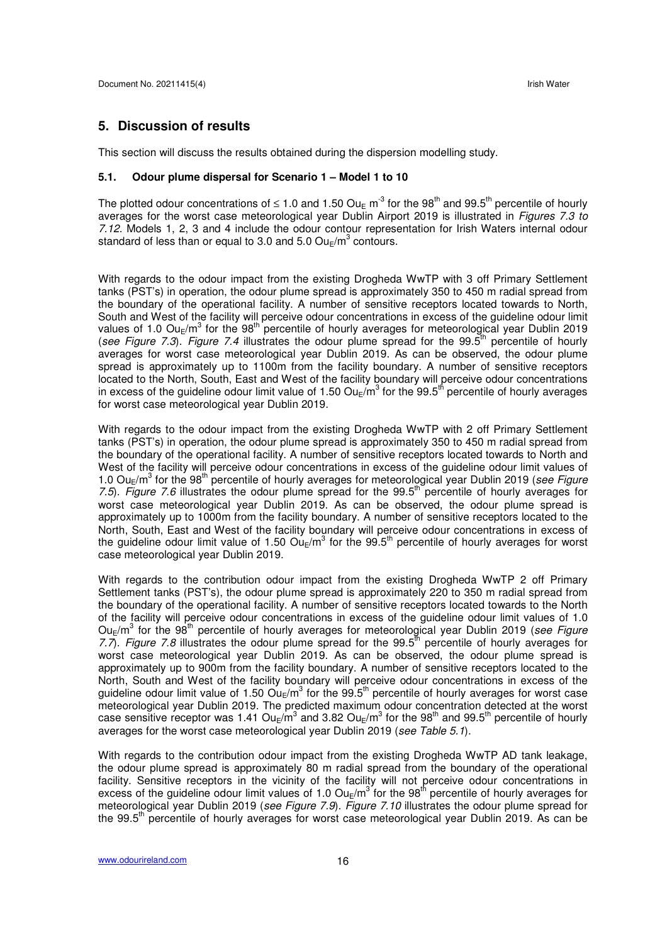#### **5. Discussion of results**

This section will discuss the results obtained during the dispersion modelling study.

#### **5.1. Odour plume dispersal for Scenario 1 – Model 1 to 10**

The plotted odour concentrations of  $\leq 1.0$  and 1.50 Ou<sub>F</sub> m<sup>-3</sup> for the 98<sup>th</sup> and 99.5<sup>th</sup> percentile of hourly averages for the worst case meteorological year Dublin Airport 2019 is illustrated in Figures 7.3 to 7.12. Models 1, 2, 3 and 4 include the odour contour representation for Irish Waters internal odour standard of less than or equal to 3.0 and 5.0  $\textsf{Ou}_{\textsf{E}}/\textsf{m}^3$  contours.

With regards to the odour impact from the existing Drogheda WwTP with 3 off Primary Settlement tanks (PST's) in operation, the odour plume spread is approximately 350 to 450 m radial spread from the boundary of the operational facility. A number of sensitive receptors located towards to North, South and West of the facility will perceive odour concentrations in excess of the guideline odour limit values of 1.0 Ou<sub>E</sub>/m<sup>3</sup> for the 98<sup>th</sup> percentile of hourly averages for meteorological year Dublin 2019 (see Figure 7.3). Figure 7.4 illustrates the odour plume spread for the  $99.5<sup>th</sup>$  percentile of hourly averages for worst case meteorological year Dublin 2019. As can be observed, the odour plume spread is approximately up to 1100m from the facility boundary. A number of sensitive receptors located to the North, South, East and West of the facility boundary will perceive odour concentrations in excess of the guideline odour limit value of 1.50  $Ou_E/m^3$  for the 99.5<sup>th</sup> percentile of hourly averages for worst case meteorological year Dublin 2019.

With regards to the odour impact from the existing Drogheda WwTP with 2 off Primary Settlement tanks (PST's) in operation, the odour plume spread is approximately 350 to 450 m radial spread from the boundary of the operational facility. A number of sensitive receptors located towards to North and West of the facility will perceive odour concentrations in excess of the guideline odour limit values of 1.0  $Ou_{E}/m^{3}$  for the 98<sup>th</sup> percentile of hourly averages for meteorological year Dublin 2019 (see Figure 7.5). Figure 7.6 illustrates the odour plume spread for the  $99.5<sup>th</sup>$  percentile of hourly averages for worst case meteorological year Dublin 2019. As can be observed, the odour plume spread is approximately up to 1000m from the facility boundary. A number of sensitive receptors located to the North, South, East and West of the facility boundary will perceive odour concentrations in excess of the guideline odour limit value of 1.50  $Ou_E/m^3$  for the 99.5<sup>th</sup> percentile of hourly averages for worst case meteorological year Dublin 2019.

With regards to the contribution odour impact from the existing Drogheda WwTP 2 off Primary Settlement tanks (PST's), the odour plume spread is approximately 220 to 350 m radial spread from the boundary of the operational facility. A number of sensitive receptors located towards to the North of the facility will perceive odour concentrations in excess of the guideline odour limit values of 1.0  $Ou_{E}/m^{3}$  for the 98<sup>th</sup> percentile of hourly averages for meteorological year Dublin 2019 (see Figure 7.7). Figure 7.8 illustrates the odour plume spread for the 99.5<sup>th</sup> percentile of hourly averages for worst case meteorological year Dublin 2019. As can be observed, the odour plume spread is approximately up to 900m from the facility boundary. A number of sensitive receptors located to the North, South and West of the facility boundary will perceive odour concentrations in excess of the guideline odour limit value of 1.50  $\text{Ou}_\text{E}/\text{m}^3$  for the 99.5<sup>th</sup> percentile of hourly averages for worst case meteorological year Dublin 2019. The predicted maximum odour concentration detected at the worst case sensitive receptor was 1.41  $Ou_{E}/m^{3}$  and 3.82  $Ou_{E}/m^{3}$  for the 98<sup>th</sup> and 99.5<sup>th</sup> percentile of hourly averages for the worst case meteorological year Dublin 2019 (see Table 5.1).

With regards to the contribution odour impact from the existing Drogheda WwTP AD tank leakage, the odour plume spread is approximately 80 m radial spread from the boundary of the operational facility. Sensitive receptors in the vicinity of the facility will not perceive odour concentrations in excess of the guideline odour limit values of 1.0  $Ou_E/m^3$  for the 98<sup>th</sup> percentile of hourly averages for meteorological year Dublin 2019 (see Figure 7.9). Figure 7.10 illustrates the odour plume spread for the 99.5<sup>th</sup> percentile of hourly averages for worst case meteorological year Dublin 2019. As can be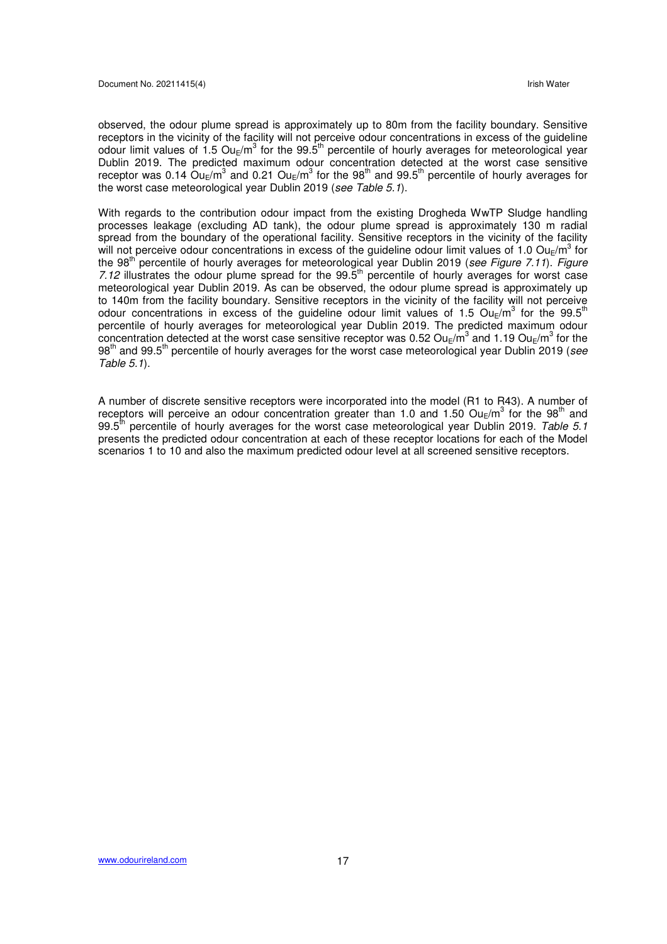observed, the odour plume spread is approximately up to 80m from the facility boundary. Sensitive receptors in the vicinity of the facility will not perceive odour concentrations in excess of the guideline odour limit values of 1.5 Ou<sub>E</sub>/m<sup>3</sup> for the 99.5<sup>th</sup> percentile of hourly averages for meteorological year Dublin 2019. The predicted maximum odour concentration detected at the worst case sensitive receptor was 0.14  $\text{Ou}_\text{E}/\text{m}^3$  and 0.21  $\text{Ou}_\text{E}/\text{m}^3$  for the 98<sup>th</sup> and 99.5<sup>th</sup> percentile of hourly averages for the worst case meteorological year Dublin 2019 (see Table 5.1).

With regards to the contribution odour impact from the existing Drogheda WwTP Sludge handling processes leakage (excluding AD tank), the odour plume spread is approximately 130 m radial spread from the boundary of the operational facility. Sensitive receptors in the vicinity of the facility will not perceive odour concentrations in excess of the guideline odour limit values of 1.0 Ou<sub>E</sub>/m<sup>3</sup> for the 98<sup>th</sup> percentile of hourly averages for meteorological year Dublin 2019 (see Figure 7.11). Figure 7.12 illustrates the odour plume spread for the  $99.5<sup>th</sup>$  percentile of hourly averages for worst case meteorological year Dublin 2019. As can be observed, the odour plume spread is approximately up to 140m from the facility boundary. Sensitive receptors in the vicinity of the facility will not perceive odour concentrations in excess of the guideline odour limit values of 1.5 Ou<sub>E</sub>/m<sup>3</sup> for the 99.5<sup>th</sup> percentile of hourly averages for meteorological year Dublin 2019. The predicted maximum odour concentration detected at the worst case sensitive receptor was 0.52 Ou<sub>E</sub>/m<sup>3</sup> and 1.19 Ou<sub>E</sub>/m<sup>3</sup> for the 98<sup>th</sup> and 99.5<sup>th</sup> percentile of hourly averages for the worst case meteorological year Dublin 2019 (see Table 5.1).

A number of discrete sensitive receptors were incorporated into the model (R1 to R43). A number of receptors will perceive an odour concentration greater than 1.0 and 1.50  $\textsf{Ou}_\textsf{E}/\textsf{m}^3$  for the 98<sup>th</sup> and 99.5<sup>th</sup> percentile of hourly averages for the worst case meteorological year Dublin 2019. Table 5.1 presents the predicted odour concentration at each of these receptor locations for each of the Model scenarios 1 to 10 and also the maximum predicted odour level at all screened sensitive receptors.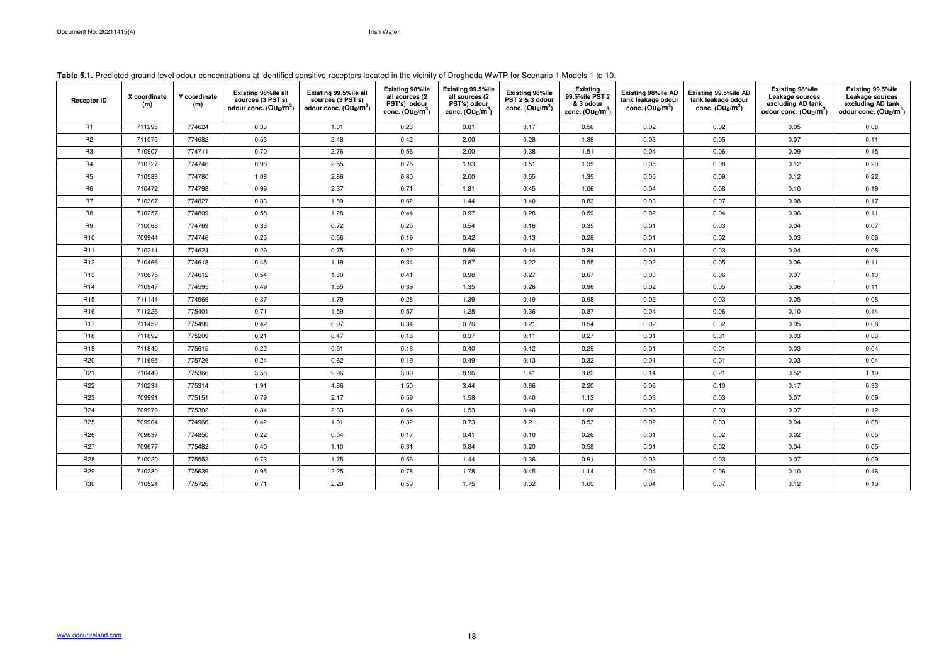### **Table 5.1.** Predicted ground level odour concentrations at identified sensitive receptors located in the vicinity of Drogheda WwTP for Scenario 1 Models 1 to 10.

| <b>Receptor ID</b> | X coordinate<br>(m) | Y coordinate<br>(m) | <b>Existing 98%ile all</b><br>sources (3 PST's)<br>odour conc. $(Ou_E/m^3)$ | Existing 99.5%ile all<br>sources (3 PST's)<br>odour conc. $(Ou_E/m^3)$ | <b>Existing 98%ile</b><br>all sources (2<br>PST's) odour<br>conc. $(Ou_E/m^3)$ | Existing 99.5%ile<br>all sources (2<br>PST's) odour<br>conc. $(Ou_E/m^3)$ | <b>Existing 98%ile</b><br>PST 2 & 3 odour<br>conc. $(Ou_E/m^3)$ | <b>Existing</b><br>99.5%ile PST 2<br>& 3 odour<br>conc. $(Ou_E/m^3)$ | Existing 98%ile AD<br>tank leakage odour<br>conc. $(Ou_E/m^3)$ | Existing 99.5%ile AD<br>tank leakage odour<br>conc. $(Ou_E/m^3)$ | <b>Existing 98%ile</b><br>Leakage sources<br>excluding AD tank<br>odour conc. $(Ou_E/m^3)$ | Existing 99.5%ile<br>Leakage sources<br>excluding AD tank<br>odour conc. $(Ou_E/m^3)$ |
|--------------------|---------------------|---------------------|-----------------------------------------------------------------------------|------------------------------------------------------------------------|--------------------------------------------------------------------------------|---------------------------------------------------------------------------|-----------------------------------------------------------------|----------------------------------------------------------------------|----------------------------------------------------------------|------------------------------------------------------------------|--------------------------------------------------------------------------------------------|---------------------------------------------------------------------------------------|
| R1                 | 711295              | 774624              | 0.33                                                                        | 1.01                                                                   | 0.26                                                                           | 0.81                                                                      | 0.17                                                            | 0.56                                                                 | 0.02                                                           | 0.02                                                             | 0.05                                                                                       | 0.08                                                                                  |
| R <sub>2</sub>     | 711075              | 774682              | 0.53                                                                        | 2.48                                                                   | 0.42                                                                           | 2.00                                                                      | 0.28                                                            | 1.38                                                                 | 0.03                                                           | 0.05                                                             | 0.07                                                                                       | 0.11                                                                                  |
| R <sub>3</sub>     | 710907              | 774711              | 0.70                                                                        | 2.76                                                                   | 0.56                                                                           | 2.00                                                                      | 0.38                                                            | 1.51                                                                 | 0.04                                                           | 0.06                                                             | 0.09                                                                                       | 0.15                                                                                  |
| R4                 | 710727              | 774746              | 0.98                                                                        | 2.55                                                                   | 0.75                                                                           | 1.93                                                                      | 0.51                                                            | 1.35                                                                 | 0.05                                                           | 0.08                                                             | 0.12                                                                                       | 0.20                                                                                  |
| R <sub>5</sub>     | 710588              | 774780              | 1.08                                                                        | 2.86                                                                   | 0.80                                                                           | 2.00                                                                      | 0.55                                                            | 1.35                                                                 | 0.05                                                           | 0.09                                                             | 0.12                                                                                       | 0.22                                                                                  |
| R <sub>6</sub>     | 710472              | 774798              | 0.99                                                                        | 2.37                                                                   | 0.71                                                                           | 1.81                                                                      | 0.45                                                            | 1.06                                                                 | 0.04                                                           | 0.08                                                             | 0.10                                                                                       | 0.19                                                                                  |
| R <sub>7</sub>     | 710367              | 774827              | 0.83                                                                        | 1.89                                                                   | 0.62                                                                           | 1.44                                                                      | 0.40                                                            | 0.83                                                                 | 0.03                                                           | 0.07                                                             | 0.08                                                                                       | 0.17                                                                                  |
| R <sub>8</sub>     | 710257              | 774809              | 0.58                                                                        | 1.28                                                                   | 0.44                                                                           | 0.97                                                                      | 0.28                                                            | 0.59                                                                 | 0.02                                                           | 0.04                                                             | 0.06                                                                                       | 0.11                                                                                  |
| R9                 | 710066              | 774769              | 0.33                                                                        | 0.72                                                                   | 0.25                                                                           | 0.54                                                                      | 0.16                                                            | 0.35                                                                 | 0.01                                                           | 0.03                                                             | 0.04                                                                                       | 0.07                                                                                  |
| R <sub>10</sub>    | 709944              | 774746              | 0.25                                                                        | 0.56                                                                   | 0.19                                                                           | 0.42                                                                      | 0.13                                                            | 0.28                                                                 | 0.01                                                           | 0.02                                                             | 0.03                                                                                       | 0.06                                                                                  |
| <b>R11</b>         | 710211              | 774624              | 0.29                                                                        | 0.75                                                                   | 0.22                                                                           | 0.56                                                                      | 0.14                                                            | 0.34                                                                 | 0.01                                                           | 0.03                                                             | 0.04                                                                                       | 0.08                                                                                  |
| R <sub>12</sub>    | 710466              | 774618              | 0.45                                                                        | 1.19                                                                   | 0.34                                                                           | 0.87                                                                      | 0.22                                                            | 0.55                                                                 | 0.02                                                           | 0.05                                                             | 0.06                                                                                       | 0.11                                                                                  |
| R <sub>13</sub>    | 710675              | 774612              | 0.54                                                                        | 1.30                                                                   | 0.41                                                                           | 0.98                                                                      | 0.27                                                            | 0.67                                                                 | 0.03                                                           | 0.06                                                             | 0.07                                                                                       | 0.13                                                                                  |
| <b>R14</b>         | 710947              | 774595              | 0.49                                                                        | 1.65                                                                   | 0.39                                                                           | 1.35                                                                      | 0.26                                                            | 0.96                                                                 | 0.02                                                           | 0.05                                                             | 0.06                                                                                       | 0.11                                                                                  |
| <b>R15</b>         | 711144              | 774566              | 0.37                                                                        | 1.79                                                                   | 0.28                                                                           | 1.39                                                                      | 0.19                                                            | 0.98                                                                 | 0.02                                                           | 0.03                                                             | 0.05                                                                                       | 0.08                                                                                  |
| R <sub>16</sub>    | 711226              | 775401              | 0.71                                                                        | 1.59                                                                   | 0.57                                                                           | 1.28                                                                      | 0.36                                                            | 0.87                                                                 | 0.04                                                           | 0.06                                                             | 0.10                                                                                       | 0.14                                                                                  |
| <b>R17</b>         | 711452              | 775499              | 0.42                                                                        | 0.97                                                                   | 0.34                                                                           | 0.76                                                                      | 0.21                                                            | 0.54                                                                 | 0.02                                                           | 0.02                                                             | 0.05                                                                                       | 0.08                                                                                  |
| R <sub>18</sub>    | 711892              | 775209              | 0.21                                                                        | 0.47                                                                   | 0.16                                                                           | 0.37                                                                      | 0.11                                                            | 0.27                                                                 | 0.01                                                           | 0.01                                                             | 0.03                                                                                       | 0.03                                                                                  |
| R <sub>19</sub>    | 711840              | 775615              | 0.22                                                                        | 0.51                                                                   | 0.18                                                                           | 0.40                                                                      | 0.12                                                            | 0.29                                                                 | 0.01                                                           | 0.01                                                             | 0.03                                                                                       | 0.04                                                                                  |
| R20                | 711695              | 775726              | 0.24                                                                        | 0.62                                                                   | 0.19                                                                           | 0.49                                                                      | 0.13                                                            | 0.32                                                                 | 0.01                                                           | 0.01                                                             | 0.03                                                                                       | 0.04                                                                                  |
| R21                | 710449              | 775366              | 3.58                                                                        | 9.96                                                                   | 3.09                                                                           | 8.96                                                                      | 1.41                                                            | 3.82                                                                 | 0.14                                                           | 0.21                                                             | 0.52                                                                                       | 1.19                                                                                  |
| R22                | 710234              | 775314              | 1.91                                                                        | 4.66                                                                   | 1.50                                                                           | 3.44                                                                      | 0.86                                                            | 2.20                                                                 | 0.06                                                           | 0.10                                                             | 0.17                                                                                       | 0.33                                                                                  |
| R <sub>23</sub>    | 709991              | 775151              | 0.79                                                                        | 2.17                                                                   | 0.59                                                                           | 1.58                                                                      | 0.40                                                            | 1.13                                                                 | 0.03                                                           | 0.03                                                             | 0.07                                                                                       | 0.09                                                                                  |
| R24                | 709979              | 775302              | 0.84                                                                        | 2.03                                                                   | 0.64                                                                           | 1.53                                                                      | 0.40                                                            | 1.06                                                                 | 0.03                                                           | 0.03                                                             | 0.07                                                                                       | 0.12                                                                                  |
| R <sub>25</sub>    | 709904              | 774966              | 0.42                                                                        | 1.01                                                                   | 0.32                                                                           | 0.73                                                                      | 0.21                                                            | 0.53                                                                 | 0.02                                                           | 0.03                                                             | 0.04                                                                                       | 0.08                                                                                  |
| R <sub>26</sub>    | 709637              | 774850              | 0.22                                                                        | 0.54                                                                   | 0.17                                                                           | 0.41                                                                      | 0.10                                                            | 0.26                                                                 | 0.01                                                           | 0.02                                                             | 0.02                                                                                       | 0.05                                                                                  |
| R <sub>27</sub>    | 709677              | 775482              | 0.40                                                                        | 1.10                                                                   | 0.31                                                                           | 0.84                                                                      | 0.20                                                            | 0.58                                                                 | 0.01                                                           | 0.02                                                             | 0.04                                                                                       | 0.05                                                                                  |
| R28                | 710020              | 775552              | 0.73                                                                        | 1.75                                                                   | 0.56                                                                           | 1.44                                                                      | 0.36                                                            | 0.91                                                                 | 0.03                                                           | 0.03                                                             | 0.07                                                                                       | 0.09                                                                                  |
| R <sub>29</sub>    | 710280              | 775639              | 0.95                                                                        | 2.25                                                                   | 0.78                                                                           | 1.78                                                                      | 0.45                                                            | 1.14                                                                 | 0.04                                                           | 0.06                                                             | 0.10                                                                                       | 0.16                                                                                  |
| R30                | 710524              | 775726              | 0.71                                                                        | 2.20                                                                   | 0.59                                                                           | 1.75                                                                      | 0.32                                                            | 1.09                                                                 | 0.04                                                           | 0.07                                                             | 0.12                                                                                       | 0.19                                                                                  |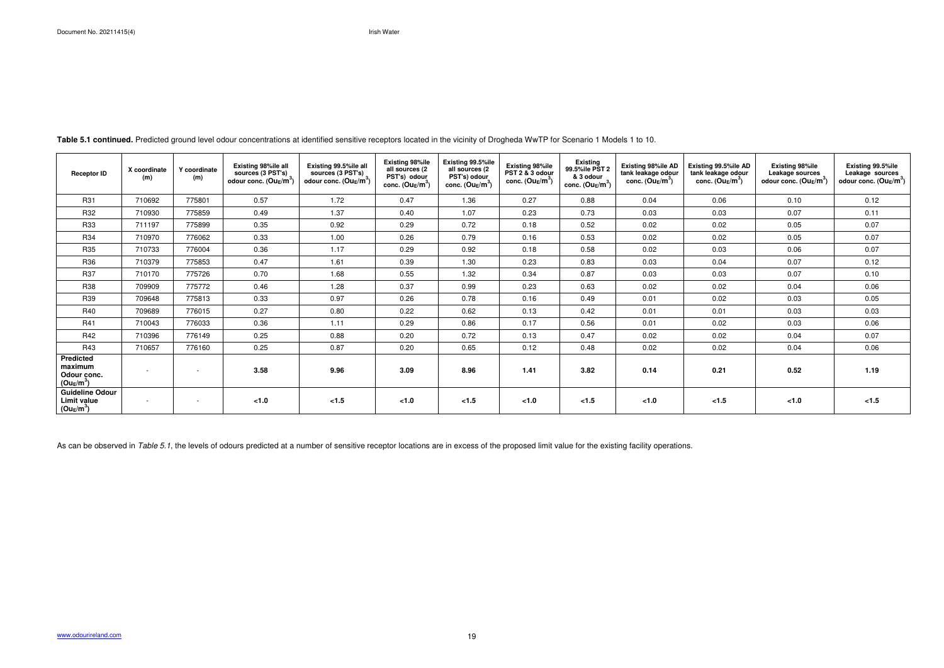**Table 5.1 continued.** Predicted ground level odour concentrations at identified sensitive receptors located in the vicinity of Drogheda WwTP for Scenario 1 Models 1 to 10.

As can be observed in Table 5.1, the levels of odours predicted at a number of sensitive receptor locations are in excess of the proposed limit value for the existing facility operations.

| <b>Receptor ID</b>                                         | X coordinate<br>(m) | Y coordinate<br>(m)      | Existing 98%ile all<br>sources (3 PST's)<br>odour conc. $(Ou_E/m^3)$ | Existing 99.5%ile all<br>sources (3 PST's)<br>odour conc. $(Ou_E/m^3)$ | <b>Existing 98%ile</b><br>all sources (2<br>PST's) odour<br>conc. $(Ou_E/m^3)$ | Existing 99.5%ile<br>all sources (2<br>PST's) odour<br>conc. $(Ou_E/m^3)$ | <b>Existing 98%ile</b><br>PST 2 & 3 odour<br>conc. $(Ou_E/m^3)$ | <b>Existing</b><br>99.5%ile PST 2<br>& 3 odour<br>conc. ( $\mathsf{O}\mathsf{u}_\mathsf{E}/\mathsf{m}^3$ ) | Existing 98%ile AD<br>tank leakage odour<br>conc. $(Ou_E/m^3)$ | Existing 99.5%ile AD<br>tank leakage odour<br>conc. $(Ou_E/m^3)$ | <b>Existing 98%ile</b><br>Leakage sources<br>odour conc. $(Ou_E/m^3)$ | Existing 99.5%ile<br>Leakage sources<br>odour conc. $(Ou_E/m^3)$ |
|------------------------------------------------------------|---------------------|--------------------------|----------------------------------------------------------------------|------------------------------------------------------------------------|--------------------------------------------------------------------------------|---------------------------------------------------------------------------|-----------------------------------------------------------------|------------------------------------------------------------------------------------------------------------|----------------------------------------------------------------|------------------------------------------------------------------|-----------------------------------------------------------------------|------------------------------------------------------------------|
| R31                                                        | 710692              | 775801                   | 0.57                                                                 | 1.72                                                                   | 0.47                                                                           | 1.36                                                                      | 0.27                                                            | 0.88                                                                                                       | 0.04                                                           | 0.06                                                             | 0.10                                                                  | 0.12                                                             |
| R32                                                        | 710930              | 775859                   | 0.49                                                                 | 1.37                                                                   | 0.40                                                                           | 1.07                                                                      | 0.23                                                            | 0.73                                                                                                       | 0.03                                                           | 0.03                                                             | 0.07                                                                  | 0.11                                                             |
| R33                                                        | 711197              | 775899                   | 0.35                                                                 | 0.92                                                                   | 0.29                                                                           | 0.72                                                                      | 0.18                                                            | 0.52                                                                                                       | 0.02                                                           | 0.02                                                             | 0.05                                                                  | 0.07                                                             |
| <b>R34</b>                                                 | 710970              | 776062                   | 0.33                                                                 | 1.00                                                                   | 0.26                                                                           | 0.79                                                                      | 0.16                                                            | 0.53                                                                                                       | 0.02                                                           | 0.02                                                             | 0.05                                                                  | 0.07                                                             |
| R35                                                        | 710733              | 776004                   | 0.36                                                                 | 1.17                                                                   | 0.29                                                                           | 0.92                                                                      | 0.18                                                            | 0.58                                                                                                       | 0.02                                                           | 0.03                                                             | 0.06                                                                  | 0.07                                                             |
| R36                                                        | 710379              | 775853                   | 0.47                                                                 | 1.61                                                                   | 0.39                                                                           | 1.30                                                                      | 0.23                                                            | 0.83                                                                                                       | 0.03                                                           | 0.04                                                             | 0.07                                                                  | 0.12                                                             |
| R37                                                        | 710170              | 775726                   | 0.70                                                                 | 1.68                                                                   | 0.55                                                                           | 1.32                                                                      | 0.34                                                            | 0.87                                                                                                       | 0.03                                                           | 0.03                                                             | 0.07                                                                  | 0.10                                                             |
| R38                                                        | 709909              | 775772                   | 0.46                                                                 | 1.28                                                                   | 0.37                                                                           | 0.99                                                                      | 0.23                                                            | 0.63                                                                                                       | 0.02                                                           | 0.02                                                             | 0.04                                                                  | 0.06                                                             |
| R39                                                        | 709648              | 775813                   | 0.33                                                                 | 0.97                                                                   | 0.26                                                                           | 0.78                                                                      | 0.16                                                            | 0.49                                                                                                       | 0.01                                                           | 0.02                                                             | 0.03                                                                  | 0.05                                                             |
| R40                                                        | 709689              | 776015                   | 0.27                                                                 | 0.80                                                                   | 0.22                                                                           | 0.62                                                                      | 0.13                                                            | 0.42                                                                                                       | 0.01                                                           | 0.01                                                             | 0.03                                                                  | 0.03                                                             |
| R41                                                        | 710043              | 776033                   | 0.36                                                                 | 1.11                                                                   | 0.29                                                                           | 0.86                                                                      | 0.17                                                            | 0.56                                                                                                       | 0.01                                                           | 0.02                                                             | 0.03                                                                  | 0.06                                                             |
| R42                                                        | 710396              | 776149                   | 0.25                                                                 | 0.88                                                                   | 0.20                                                                           | 0.72                                                                      | 0.13                                                            | 0.47                                                                                                       | 0.02                                                           | 0.02                                                             | 0.04                                                                  | 0.07                                                             |
| R43                                                        | 710657              | 776160                   | 0.25                                                                 | 0.87                                                                   | 0.20                                                                           | 0.65                                                                      | 0.12                                                            | 0.48                                                                                                       | 0.02                                                           | 0.02                                                             | 0.04                                                                  | 0.06                                                             |
| <b>Predicted</b><br>maximum<br>Odour conc.<br>$(Ou_E/m^3)$ |                     | $\overline{\phantom{a}}$ | 3.58                                                                 | 9.96                                                                   | 3.09                                                                           | 8.96                                                                      | 1.41                                                            | 3.82                                                                                                       | 0.14                                                           | 0.21                                                             | 0.52                                                                  | 1.19                                                             |
| <b>Guideline Odour</b><br>Limit value<br>$(Ou_E/m^3)$      | $\sim$              | $\sim$                   | <1.0                                                                 | < 1.5                                                                  | < 1.0                                                                          | < 1.5                                                                     | $<1.0$                                                          | < 1.5                                                                                                      | < 1.0                                                          | < 1.5                                                            | < 1.0                                                                 | < 1.5                                                            |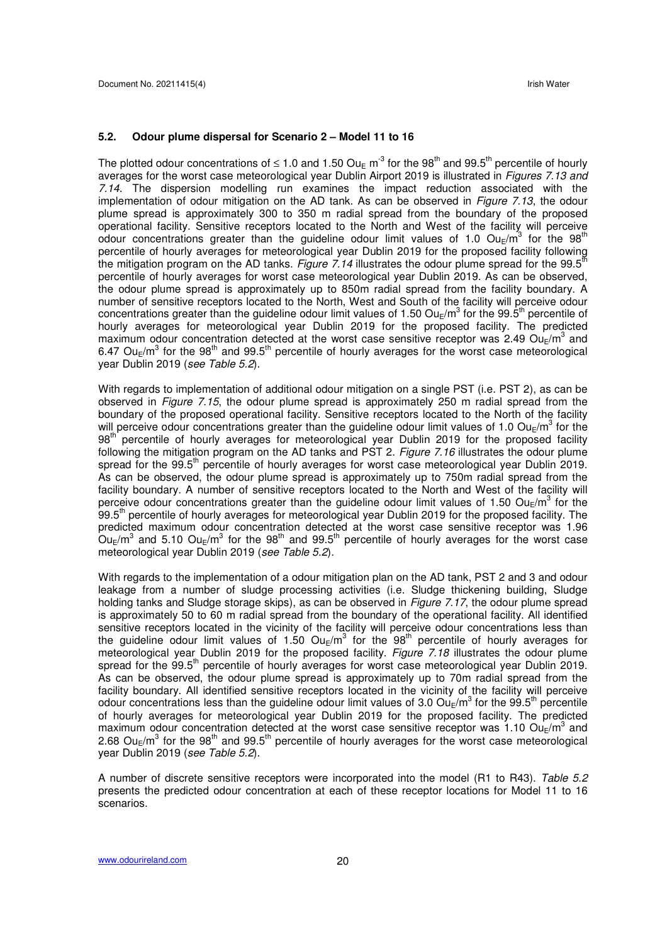#### **5.2. Odour plume dispersal for Scenario 2 – Model 11 to 16**

The plotted odour concentrations of  $\leq 1.0$  and 1.50 Ou<sub>E</sub> m<sup>-3</sup> for the 98<sup>th</sup> and 99.5<sup>th</sup> percentile of hourly averages for the worst case meteorological year Dublin Airport 2019 is illustrated in *Figures 7.13 and* 7.14. The dispersion modelling run examines the impact reduction associated with the implementation of odour mitigation on the AD tank. As can be observed in Figure 7.13, the odour plume spread is approximately 300 to 350 m radial spread from the boundary of the proposed operational facility. Sensitive receptors located to the North and West of the facility will perceive odour concentrations greater than the guideline odour limit values of 1.0  $Ou_E/m^3$  for the 98<sup>th</sup> percentile of hourly averages for meteorological year Dublin 2019 for the proposed facility following the mitigation program on the AD tanks. Figure 7.14 illustrates the odour plume spread for the 99.5<sup>th</sup> percentile of hourly averages for worst case meteorological year Dublin 2019. As can be observed, the odour plume spread is approximately up to 850m radial spread from the facility boundary. A number of sensitive receptors located to the North, West and South of the facility will perceive odour concentrations greater than the guideline odour limit values of 1.50 Ou<sub>E</sub>/m<sup>3</sup> for the 99.5<sup>th</sup> percentile of hourly averages for meteorological year Dublin 2019 for the proposed facility. The predicted maximum odour concentration detected at the worst case sensitive receptor was 2.49 Ou<sub>E</sub>/m<sup>3</sup> and 6.47 Ou<sub>E</sub>/m<sup>3</sup> for the 98<sup>th</sup> and 99.5<sup>th</sup> percentile of hourly averages for the worst case meteorological year Dublin 2019 (see Table 5.2).

With regards to implementation of additional odour mitigation on a single PST (i.e. PST 2), as can be observed in *Figure 7.15*, the odour plume spread is approximately 250 m radial spread from the boundary of the proposed operational facility. Sensitive receptors located to the North of the facility will perceive odour concentrations greater than the guideline odour limit values of 1.0 Ou<sub>E</sub>/m<sup>3</sup> for the 98<sup>th</sup> percentile of hourly averages for meteorological year Dublin 2019 for the proposed facility following the mitigation program on the AD tanks and PST 2. Figure 7.16 illustrates the odour plume spread for the 99.5<sup>th</sup> percentile of hourly averages for worst case meteorological year Dublin 2019. As can be observed, the odour plume spread is approximately up to 750m radial spread from the facility boundary. A number of sensitive receptors located to the North and West of the facility will perceive odour concentrations greater than the guideline odour limit values of 1.50 Ou<sub>E</sub>/m<sup>3</sup> for the 99.5<sup>th</sup> percentile of hourly averages for meteorological year Dublin 2019 for the proposed facility. The predicted maximum odour concentration detected at the worst case sensitive receptor was 1.96  $\rm O$ u<sub>E</sub>/m<sup>3</sup> and 5.10 Ou<sub>E</sub>/m<sup>3</sup> for the 98<sup>th</sup> and 99.5<sup>th</sup> percentile of hourly averages for the worst case meteorological year Dublin 2019 (see Table 5.2).

With regards to the implementation of a odour mitigation plan on the AD tank, PST 2 and 3 and odour leakage from a number of sludge processing activities (i.e. Sludge thickening building, Sludge holding tanks and Sludge storage skips), as can be observed in Figure 7.17, the odour plume spread is approximately 50 to 60 m radial spread from the boundary of the operational facility. All identified sensitive receptors located in the vicinity of the facility will perceive odour concentrations less than the guideline odour limit values of 1.50  $Ou_{E}/m^{3}$  for the 98<sup>th</sup> percentile of hourly averages for meteorological year Dublin 2019 for the proposed facility. Figure 7.18 illustrates the odour plume spread for the 99.5<sup>th</sup> percentile of hourly averages for worst case meteorological year Dublin 2019. As can be observed, the odour plume spread is approximately up to 70m radial spread from the facility boundary. All identified sensitive receptors located in the vicinity of the facility will perceive odour concentrations less than the guideline odour limit values of 3.0  $Ou_{E}/m^{3}$  for the 99.5<sup>th</sup> percentile of hourly averages for meteorological year Dublin 2019 for the proposed facility. The predicted maximum odour concentration detected at the worst case sensitive receptor was 1.10 Ou<sub>E</sub>/m<sup>3</sup> and 2.68 Ou<sub>E</sub>/m<sup>3</sup> for the 98<sup>th</sup> and 99.5<sup>th</sup> percentile of hourly averages for the worst case meteorological year Dublin 2019 (see Table 5.2).

A number of discrete sensitive receptors were incorporated into the model (R1 to R43). Table 5.2 presents the predicted odour concentration at each of these receptor locations for Model 11 to 16 scenarios.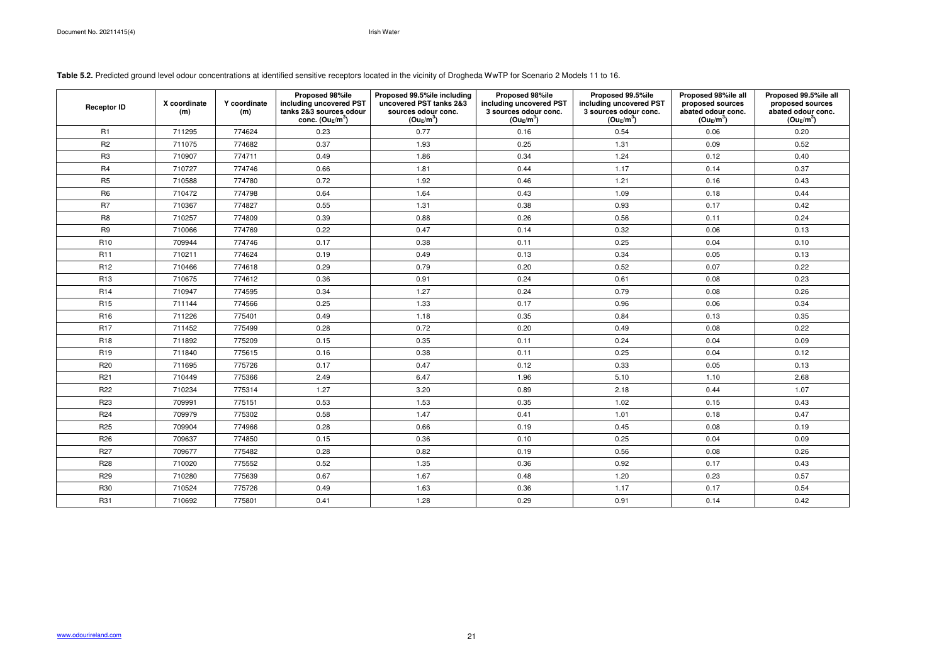**Table 5.2.** Predicted ground level odour concentrations at identified sensitive receptors located in the vicinity of Drogheda WwTP for Scenario 2 Models 11 to 16.

| <b>Receptor ID</b> | X coordinate<br>(m) | Y coordinate<br>(m) | Proposed 98%ile<br>including uncovered PST<br>tanks 2&3 sources odour<br>conc. $(Ou_E/m^3)$ | Proposed 99.5%ile including<br>uncovered PST tanks 2&3<br>sources odour conc.<br>$(Ou_E/m^3)$ | Proposed 98%ile<br>including uncovered PST<br>3 sources odour conc.<br>$(Ou_E/m^3)$ | Proposed 99.5%ile<br>including uncovered PST<br>3 sources odour conc.<br>$(Ou_E/m^3)$ | Proposed 98%ile all<br>proposed sources<br>abated odour conc.<br>$(Ou_E/m^3)$ | Proposed 99.5%ile all<br>proposed sources<br>abated odour conc.<br>$(Ou_E/m^3)$ |
|--------------------|---------------------|---------------------|---------------------------------------------------------------------------------------------|-----------------------------------------------------------------------------------------------|-------------------------------------------------------------------------------------|---------------------------------------------------------------------------------------|-------------------------------------------------------------------------------|---------------------------------------------------------------------------------|
| R <sub>1</sub>     | 711295              | 774624              | 0.23                                                                                        | 0.77                                                                                          | 0.16                                                                                | 0.54                                                                                  | 0.06                                                                          | 0.20                                                                            |
| R <sub>2</sub>     | 711075              | 774682              | 0.37                                                                                        | 1.93                                                                                          | 0.25                                                                                | 1.31                                                                                  | 0.09                                                                          | 0.52                                                                            |
| R <sub>3</sub>     | 710907              | 774711              | 0.49                                                                                        | 1.86                                                                                          | 0.34                                                                                | 1.24                                                                                  | 0.12                                                                          | 0.40                                                                            |
| R <sub>4</sub>     | 710727              | 774746              | 0.66                                                                                        | 1.81                                                                                          | 0.44                                                                                | 1.17                                                                                  | 0.14                                                                          | 0.37                                                                            |
| R <sub>5</sub>     | 710588              | 774780              | 0.72                                                                                        | 1.92                                                                                          | 0.46                                                                                | 1.21                                                                                  | 0.16                                                                          | 0.43                                                                            |
| R <sub>6</sub>     | 710472              | 774798              | 0.64                                                                                        | 1.64                                                                                          | 0.43                                                                                | 1.09                                                                                  | 0.18                                                                          | 0.44                                                                            |
| R <sub>7</sub>     | 710367              | 774827              | 0.55                                                                                        | 1.31                                                                                          | 0.38                                                                                | 0.93                                                                                  | 0.17                                                                          | 0.42                                                                            |
| R <sub>8</sub>     | 710257              | 774809              | 0.39                                                                                        | 0.88                                                                                          | 0.26                                                                                | 0.56                                                                                  | 0.11                                                                          | 0.24                                                                            |
| R <sub>9</sub>     | 710066              | 774769              | 0.22                                                                                        | 0.47                                                                                          | 0.14                                                                                | 0.32                                                                                  | 0.06                                                                          | 0.13                                                                            |
| R <sub>10</sub>    | 709944              | 774746              | 0.17                                                                                        | 0.38                                                                                          | 0.11                                                                                | 0.25                                                                                  | 0.04                                                                          | 0.10                                                                            |
| <b>R11</b>         | 710211              | 774624              | 0.19                                                                                        | 0.49                                                                                          | 0.13                                                                                | 0.34                                                                                  | 0.05                                                                          | 0.13                                                                            |
| R <sub>12</sub>    | 710466              | 774618              | 0.29                                                                                        | 0.79                                                                                          | 0.20                                                                                | 0.52                                                                                  | 0.07                                                                          | 0.22                                                                            |
| R <sub>13</sub>    | 710675              | 774612              | 0.36                                                                                        | 0.91                                                                                          | 0.24                                                                                | 0.61                                                                                  | 0.08                                                                          | 0.23                                                                            |
| R <sub>14</sub>    | 710947              | 774595              | 0.34                                                                                        | 1.27                                                                                          | 0.24                                                                                | 0.79                                                                                  | 0.08                                                                          | 0.26                                                                            |
| R <sub>15</sub>    | 711144              | 774566              | 0.25                                                                                        | 1.33                                                                                          | 0.17                                                                                | 0.96                                                                                  | 0.06                                                                          | 0.34                                                                            |
| R <sub>16</sub>    | 711226              | 775401              | 0.49                                                                                        | 1.18                                                                                          | 0.35                                                                                | 0.84                                                                                  | 0.13                                                                          | 0.35                                                                            |
| <b>R17</b>         | 711452              | 775499              | 0.28                                                                                        | 0.72                                                                                          | 0.20                                                                                | 0.49                                                                                  | 0.08                                                                          | 0.22                                                                            |
| R <sub>18</sub>    | 711892              | 775209              | 0.15                                                                                        | 0.35                                                                                          | 0.11                                                                                | 0.24                                                                                  | 0.04                                                                          | 0.09                                                                            |
| R <sub>19</sub>    | 711840              | 775615              | 0.16                                                                                        | 0.38                                                                                          | 0.11                                                                                | 0.25                                                                                  | 0.04                                                                          | 0.12                                                                            |
| R <sub>20</sub>    | 711695              | 775726              | 0.17                                                                                        | 0.47                                                                                          | 0.12                                                                                | 0.33                                                                                  | 0.05                                                                          | 0.13                                                                            |
| R <sub>21</sub>    | 710449              | 775366              | 2.49                                                                                        | 6.47                                                                                          | 1.96                                                                                | 5.10                                                                                  | 1.10                                                                          | 2.68                                                                            |
| R <sub>22</sub>    | 710234              | 775314              | 1.27                                                                                        | 3.20                                                                                          | 0.89                                                                                | 2.18                                                                                  | 0.44                                                                          | 1.07                                                                            |
| R <sub>23</sub>    | 709991              | 775151              | 0.53                                                                                        | 1.53                                                                                          | 0.35                                                                                | 1.02                                                                                  | 0.15                                                                          | 0.43                                                                            |
| R <sub>24</sub>    | 709979              | 775302              | 0.58                                                                                        | 1.47                                                                                          | 0.41                                                                                | 1.01                                                                                  | 0.18                                                                          | 0.47                                                                            |
| R <sub>25</sub>    | 709904              | 774966              | 0.28                                                                                        | 0.66                                                                                          | 0.19                                                                                | 0.45                                                                                  | 0.08                                                                          | 0.19                                                                            |
| R <sub>26</sub>    | 709637              | 774850              | 0.15                                                                                        | 0.36                                                                                          | 0.10                                                                                | 0.25                                                                                  | 0.04                                                                          | 0.09                                                                            |
| <b>R27</b>         | 709677              | 775482              | 0.28                                                                                        | 0.82                                                                                          | 0.19                                                                                | 0.56                                                                                  | 0.08                                                                          | 0.26                                                                            |
| <b>R28</b>         | 710020              | 775552              | 0.52                                                                                        | 1.35                                                                                          | 0.36                                                                                | 0.92                                                                                  | 0.17                                                                          | 0.43                                                                            |
| R <sub>29</sub>    | 710280              | 775639              | 0.67                                                                                        | 1.67                                                                                          | 0.48                                                                                | 1.20                                                                                  | 0.23                                                                          | 0.57                                                                            |
| <b>R30</b>         | 710524              | 775726              | 0.49                                                                                        | 1.63                                                                                          | 0.36                                                                                | 1.17                                                                                  | 0.17                                                                          | 0.54                                                                            |
| <b>R31</b>         | 710692              | 775801              | 0.41                                                                                        | 1.28                                                                                          | 0.29                                                                                | 0.91                                                                                  | 0.14                                                                          | 0.42                                                                            |